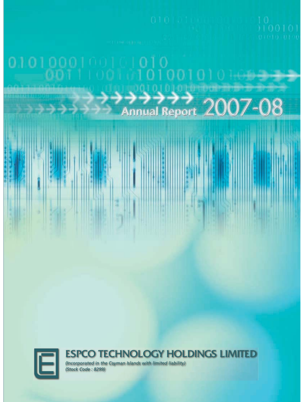



ĵ

š

### ESPCO TECHNOLOGY HOLDINGS LIMITED

*(Incorporated in the Cayman Islands with limited liability) (Stock Code : 8299)*

 $\frac{d\mathbf{r}}{d\mathbf{r}}$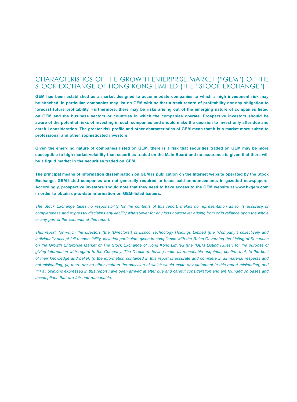### CHARACTERISTICS OF THE GROWTH ENTERPRISE MARKET ("GEM") OF THE STOCK EXCHANGE OF HONG KONG LIMITED (THE "STOCK EXCHANGE")

**GEM has been established as a market designed to accommodate companies to which a high investment risk may be attached. In particular, companies may list on GEM with neither a track record of profitability nor any obligation to forecast future profitability. Furthermore, there may be risks arising out of the emerging nature of companies listed on GEM and the business sectors or countries in which the companies operate. Prospective investors should be aware of the potential risks of investing in such companies and should make the decision to invest only after due and careful consideration. The greater risk profile and other characteristics of GEM mean that it is a market more suited to professional and other sophisticated investors.**

**Given the emerging nature of companies listed on GEM, there is a risk that securities traded on GEM may be more susceptible to high market volatility than securities traded on the Main Board and no assurance is given that there will be a liquid market in the securities traded on GEM.**

**The principal means of information dissemination on GEM is publication on the Internet website operated by the Stock Exchange. GEM-listed companies are not generally required to issue paid announcements in gazetted newspapers. Accordingly, prospective investors should note that they need to have access to the GEM website at www.hkgem.com in order to obtain up-to-date information on GEM-listed issuers.**

*The Stock Exchange takes no responsibility for the contents of this report, makes no representation as to its accuracy or completeness and expressly disclaims any liability whatsoever for any loss howsoever arising from or in reliance upon the whole or any part of the contents of this report.*

*This report, for which the directors (the "Directors") of Espco Technology Holdings Limited (the "Company") collectively and individually accept full responsibility, includes particulars given in compliance with the Rules Governing the Listing of Securities on the Growth Enterprise Market of The Stock Exchange of Hong Kong Limited (the "GEM Listing Rules") for the purpose of giving information with regard to the Company. The Directors, having made all reasonable enquiries, confirm that, to the best of their knowledge and belief: (i) the information contained in this report is accurate and complete in all material respects and not misleading; (ii) there are no other matters the omission of which would make any statement in this report misleading; and (iii) all opinions expressed in this report have been arrived at after due and careful consideration and are founded on bases and assumptions that are fair and reasonable.*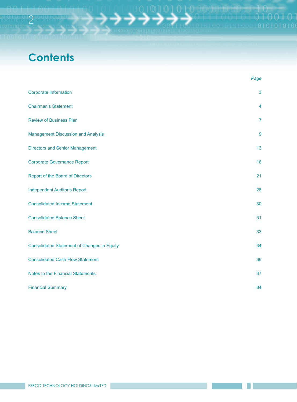# **Contents**

2

|                                                    | Page           |
|----------------------------------------------------|----------------|
| <b>Corporate Information</b>                       | 3              |
| <b>Chairman's Statement</b>                        | 4              |
| <b>Review of Business Plan</b>                     | $\overline{7}$ |
| <b>Management Discussion and Analysis</b>          | 9              |
| <b>Directors and Senior Management</b>             | 13             |
| <b>Corporate Governance Report</b>                 | 16             |
| <b>Report of the Board of Directors</b>            | 21             |
| <b>Independent Auditor's Report</b>                | 28             |
| <b>Consolidated Income Statement</b>               | 30             |
| <b>Consolidated Balance Sheet</b>                  | 31             |
| <b>Balance Sheet</b>                               | 33             |
| <b>Consolidated Statement of Changes in Equity</b> | 34             |
| <b>Consolidated Cash Flow Statement</b>            | 36             |
| <b>Notes to the Financial Statements</b>           | 37             |
| <b>Financial Summary</b>                           | 84             |

 $00101$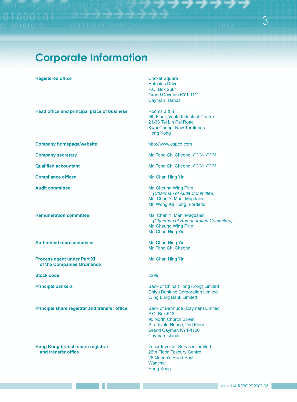3

# **Corporate Information**

#### **FREQIStered office 5HJLVWHUHGRICricket Square**

**Head office and principal place of business** Rooms 3 & 4

**Company homepage/website by a strategier of the example of the example of the example of the example of the example of the example of the example of the example of the example of the example of the example of the exampl** 

**Compliance officer Example 2018** Mr. Chan Hing Yin

**Authorised representatives** *Mr. Chan Hing Yin* 

**Process agent under Part XI 3URFHU3DE Mr. Chan Hing Yin** of the Companies Ordinance

**Stock code** 8299

**Principal share registrar and transfer office Bank of Bermuda (Cayman) Limited** 

**+RQJ.RQJEUDQFKVKDUHUHJLVWUDU** Tricor Investor Services Limited

Hutchins Drive P.O. Box 2681 Grand Cayman KY1-1111 Cayman Islands

9th Floor, Vanta Industrial Centre 21-33 Tai Lin Pai Road Kwai Chung, New Territories Hong Kong

**Company secretary by Company Are all the Mr. Tong Chi Cheong,** *FCCA, FCPA* 

**4XDOLUTION MEXICA COMPUTER MEXICAL CONSUMPTED MEXICAL CONSUMPTION MEXICAL CONSUMPTION OF A SECOND MEXICAL FORM** 

**Audit committee \$2.6 Audit Committee Mr. Cheung Wing Ping** *(Chairman of Audit Committee)* Ms. Chan Yi Man, Magdalen Mr. Wong Ka Hung, Frederic

**Framuneration committee State of the Chan Yi Man, Magdalen** *(Chairman of Remuneration Committee)* Mr. Cheung Wing Ping Mr. Chan Hing Yin

Mr. Tong Chi Cheong

**3ULQFLSDOED** Bank of China (Hong Kong) Limited Chiyu Banking Corporation Limited Wing Lung Bank Limited

> P.O. Box 513 90 North Church Street Strathvale House, 2nd Floor Grand Cayman KY1-1106 Cayman Islands

26th Floor, Tesbury Centre 28 Queen's Road East Wanchai Hong Kong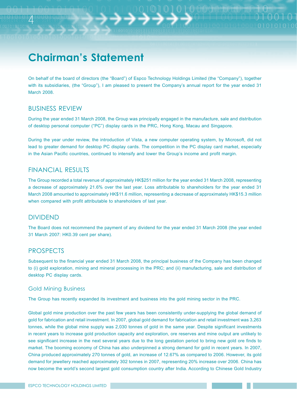# **Chairman's Statement**

On behalf of the board of directors (the "Board") of Espco Technology Holdings Limited (the "Company"), together with its subsidiaries, (the "Group"), I am pleased to present the Company's annual report for the year ended 31 March 2008.

### BUSINESS REVIEW

4

During the year ended 31 March 2008, the Group was principally engaged in the manufacture, sale and distribution of desktop personal computer ("PC") display cards in the PRC, Hong Kong, Macau and Singapore.

During the year under review, the introduction of Vista, a new computer operating system, by Microsoft, did not lead to greater demand for desktop PC display cards. The competition in the PC display card market, especially in the Asian Pacific countries, continued to intensify and lower the Group's income and profit margin.

### FINANCIAL RESULTS

The Group recorded a total revenue of approximately HK\$251 million for the year ended 31 March 2008, representing a decrease of approximately 21.6% over the last year. Loss attributable to shareholders for the year ended 31 March 2008 amounted to approximately HK\$11.6 million, representing a decrease of approximately HK\$15.3 million when compared with profit attributable to shareholders of last year.

### DIVIDEND

The Board does not recommend the payment of any dividend for the year ended 31 March 2008 (the year ended 31 March 2007: HK0.39 cent per share).

### PROSPECTS

Subsequent to the financial year ended 31 March 2008, the principal business of the Company has been changed to (i) gold exploration, mining and mineral processing in the PRC; and (ii) manufacturing, sale and distribution of desktop PC display cards.

#### Gold Mining Business

The Group has recently expanded its investment and business into the gold mining sector in the PRC.

Global gold mine production over the past few years has been consistently under-supplying the global demand of gold for fabrication and retail investment. In 2007, global gold demand for fabrication and retail investment was 3,263 tonnes, while the global mine supply was 2,030 tonnes of gold in the same year. Despite significant investments in recent years to increase gold production capacity and exploration, ore reserves and mine output are unlikely to see significant increase in the next several years due to the long gestation period to bring new gold ore finds to market. The booming economy of China has also underpinned a strong demand for gold in recent years. In 2007, China produced approximately 270 tonnes of gold, an increase of 12.67% as compared to 2006. However, its gold demand for jewellery reached approximately 302 tonnes in 2007, representing 20% increase over 2006. China has now become the world's second largest gold consumption country after India. According to Chinese Gold Industry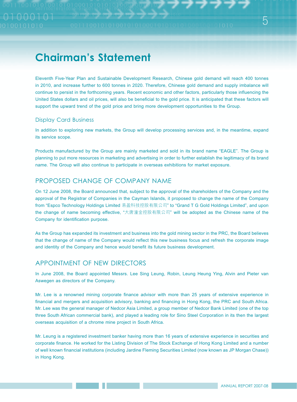# **Chairman's Statement**

Eleventh Five-Year Plan and Sustainable Development Research, Chinese gold demand will reach 400 tonnes in 2010, and increase further to 600 tonnes in 2020. Therefore, Chinese gold demand and supply imbalance will continue to persist in the forthcoming years. Recent economic and other factors, particularly those influencing the United States dollars and oil prices, will also be beneficial to the gold price. It is anticipated that these factors will support the upward trend of the gold price and bring more development opportunities to the Group.

#### Display Card Business

In addition to exploring new markets, the Group will develop processing services and, in the meantime, expand its service scope.

Products manufactured by the Group are mainly marketed and sold in its brand name "EAGLE". The Group is planning to put more resources in marketing and advertising in order to further establish the legitimacy of its brand name. The Group will also continue to participate in overseas exhibitions for market exposure.

### PROPOSED CHANGE OF COMPANY NAME

On 12 June 2008, the Board announced that, subject to the approval of the shareholders of the Company and the approval of the Registrar of Companies in the Cayman Islands, it proposed to change the name of the Company from "Espco Technology Holdings Limited 易盈科技控股有限公司" to "Grand T G Gold Holdings Limited", and upon the change of name becoming effective, "大唐潼金控股有限公司" will be adopted as the Chinese name of the Company for identification purpose.

As the Group has expanded its investment and business into the gold mining sector in the PRC, the Board believes that the change of name of the Company would reflect this new business focus and refresh the corporate image and identity of the Company and hence would benefit its future business development.

### APPOINTMENT OF NEW DIRECTORS

In June 2008, the Board appointed Messrs. Lee Sing Leung, Robin, Leung Heung Ying, Alvin and Pieter van Aswegen as directors of the Company.

Mr. Lee is a renowned mining corporate finance advisor with more than 25 years of extensive experience in financial and mergers and acquisition advisory, banking and financing in Hong Kong, the PRC and South Africa. Mr. Lee was the general manager of Nedcor Asia Limited, a group member of Nedcor Bank Limited (one of the top three South African commercial bank), and played a leading role for Sino Steel Corporation in its then the largest overseas acquisition of a chrome mine project in South Africa.

Mr. Leung is a registered investment banker having more than 16 years of extensive experience in securities and corporate finance. He worked for the Listing Division of The Stock Exchange of Hong Kong Limited and a number of well known financial institutions (including Jardine Fleming Securities Limited (now known as JP Morgan Chase)) in Hong Kong.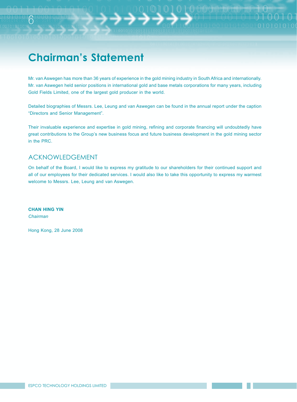# **Chairman's Statement**

Mr. van Aswegen has more than 36 years of experience in the gold mining industry in South Africa and internationally. Mr. van Aswegen held senior positions in international gold and base metals corporations for many years, including Gold Fields Limited, one of the largest gold producer in the world.

Detailed biographies of Messrs. Lee, Leung and van Aswegen can be found in the annual report under the caption "Directors and Senior Management".

Their invaluable experience and expertise in gold mining, refining and corporate financing will undoubtedly have great contributions to the Group's new business focus and future business development in the gold mining sector in the PRC.

### ACKNOWLEDGEMENT

On behalf of the Board, I would like to express my gratitude to our shareholders for their continued support and all of our employees for their dedicated services. I would also like to take this opportunity to express my warmest welcome to Messrs. Lee, Leung and van Aswegen.

**CHAN HING YIN** *Chairman*

6

Hong Kong, 28 June 2008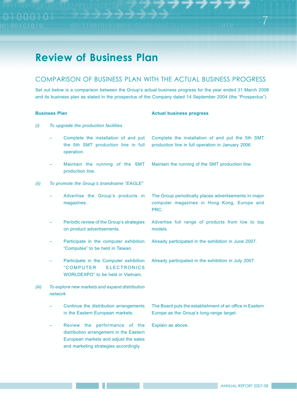### **Review of Business Plan**

### COMPARISON OF BUSINESS PLAN WITH THE ACTUAL BUSINESS PROGRESS

Set out below is a comparison between the Group's actual business progress for the year ended 31 March 2008 and its business plan as stated in the prospectus of the Company dated 14 September 2004 (the "Prospectus").

#### **Business Plan Actual business progress** *(i) To upgrade the production facilities* – Complete the installation of and put the 5th SMT production line in full operation. Complete the installation of and put the 5th SMT production line in full operation in January 2006. – Maintain the running of the SMT production line. Maintain the running of the SMT production line. *(ii) To promote the Group's brandname "EAGLE"* – Advertise the Group's products in magazines. The Group periodically places advertisements in major computer magazines in Hong Kong, Europe and PRC. – Periodic review of the Group's strategies on product advertisements. Advertise full range of products from low to top models. – Participate in the computer exhibition "Computex" to be held in Taiwan. Already participated in the exhibition in June 2007. – Participate in the Computer exhibition " COMPUTER ELECTRONICS WORLDEXPO" to be held in Vietnam. Already participated in the exhibition in July 2007. *(iii) To explore new markets and expand distribution network* – Continue the distribution arrangements in the Eastern European markets. The Board puts the establishment of an office in Eastern Europe as the Group's long-range target. – Review the performance of the distribution arrangement in the Eastern European markets and adjust the sales and marketing strategies accordingly. Explain as above.

7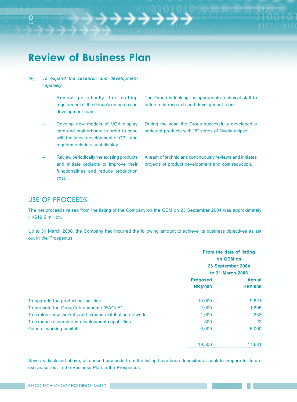# **Review of Business Plan**

- *(iv) To expand the research and development capability*
	- Review periodically the staffing requirement of the Group's research and development team.
	- Develop new models of VGA display card and motherboard in order to cope with the latest development of CPU and requirements in visual display.
	- Review periodically the existing products and initiate projects to improve their functionalities and reduce production cost.

The Group is looking for appropriate technical staff to enforce its research and development team.

During the year, the Group successfully developed a series of products with "8" series of Nvidia chipset.

A team of technicians continuously reviews and initiates projects of product development and cost reduction.

#### USE OF PROCEEDS

The net proceeds raised from the listing of the Company on the GEM on 23 September 2004 was approximately HK\$19.5 million.

Up to 31 March 2008, the Company had incurred the following amount to achieve its business objectives as set out in the Prospectus:

|                                                        | From the date of listing                           |                 |
|--------------------------------------------------------|----------------------------------------------------|-----------------|
|                                                        | on GEM on<br>23 September 2004<br>to 31 March 2008 |                 |
|                                                        |                                                    |                 |
|                                                        |                                                    |                 |
|                                                        | <b>Proposed</b>                                    | <b>Actual</b>   |
|                                                        | <b>HK\$'000</b>                                    | <b>HK\$'000</b> |
| To upgrade the production facilities                   | 10,000                                             | 9,621           |
| To promote the Group's brandname "EAGLE"               | 2,000                                              | 1,805           |
| To explore new markets and expand distribution network | 1,000                                              | 233             |
| To expand research and development capabilities        | 500                                                | 22              |
| General working capital                                | 6,000                                              | 6,000           |
|                                                        | 19,500                                             | 17,681          |

Save as disclosed above, all unused proceeds from the listing have been deposited at bank to prepare for future use as set out in the Business Plan in the Prospectus.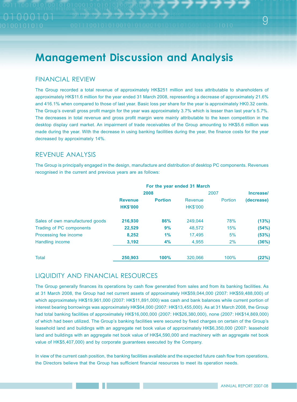#### FINANCIAL REVIEW

The Group recorded a total revenue of approximately HK\$251 million and loss attributable to shareholders of approximately HK\$11.6 million for the year ended 31 March 2008, representing a decrease of approximately 21.6% and 416.1% when compared to those of last year. Basic loss per share for the year is approximately HK0.32 cents. The Group's overall gross profit margin for the year was approximately 3.7% which is lesser than last year's 5.7%. The decreases in total revenue and gross profit margin were mainly attributable to the keen competition in the desktop display card market. An impairment of trade receivables of the Group amounting to HK\$5.6 million was made during the year. With the decrease in using banking facilities during the year, the finance costs for the year decreased by approximately 14%.

### REVENUE ANALYSIS

The Group is principally engaged in the design, manufacture and distribution of desktop PC components. Revenues recognised in the current and previous years are as follows:

|                                 | For the year ended 31 March       |                |                            |         |            |
|---------------------------------|-----------------------------------|----------------|----------------------------|---------|------------|
|                                 | 2008                              |                | 2007                       |         | Increase/  |
|                                 | <b>Revenue</b><br><b>HK\$'000</b> | <b>Portion</b> | Revenue<br><b>HK\$'000</b> | Portion | (decrease) |
| Sales of own manufactured goods | 216,930                           | 86%            | 249.044                    | 78%     | (13%)      |
| Trading of PC components        | 22,529                            | 9%             | 48,572                     | 15%     | (54%)      |
| Processing fee income           | 8,252                             | 1%             | 17,495                     | 5%      | (53%)      |
| Handling income                 | 3,192                             | 4%             | 4,955                      | 2%      | (36%)      |
| <b>Total</b>                    | 250,903                           | 100%           | 320.066                    | 100%    | (22%)      |

### LIQUIDITY AND FINANCIAL RESOURCES

The Group generally finances its operations by cash flow generated from sales and from its banking facilities. As at 31 March 2008, the Group had net current assets of approximately HK\$59,044,000 (2007: HK\$59,488,000) of which approximately HK\$19,961,000 (2007: HK\$11,891,000) was cash and bank balances while current portion of interest bearing borrowings was approximately HK\$64,000 (2007: HK\$13,455,000). As at 31 March 2008, the Group had total banking facilities of approximately HK\$16,000,000 (2007: HK\$26,380,000), none (2007: HK\$14,869,000) of which had been utilized. The Group's banking facilities were secured by fixed charges on certain of the Group's leasehold land and buildings with an aggregate net book value of approximately HK\$6,350,000 (2007: leasehold land and buildings with an aggregate net book value of HK\$4,590,000 and machinery with an aggregate net book value of HK\$5,407,000) and by corporate guarantees executed by the Company.

In view of the current cash position, the banking facilities available and the expected future cash flow from operations, the Directors believe that the Group has sufficient financial resources to meet its operation needs.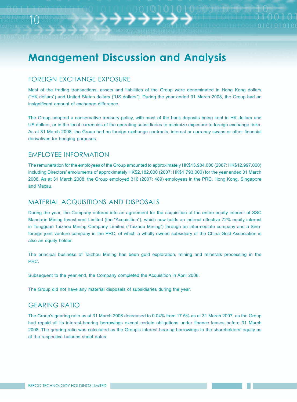#### FOREIGN EXCHANGE EXPOSURE

10

Most of the trading transactions, assets and liabilities of the Group were denominated in Hong Kong dollars ("HK dollars") and United States dollars ("US dollars"). During the year ended 31 March 2008, the Group had an insignificant amount of exchange difference.

The Group adopted a conservative treasury policy, with most of the bank deposits being kept in HK dollars and US dollars, or in the local currencies of the operating subsidiaries to minimize exposure to foreign exchange risks. As at 31 March 2008, the Group had no foreign exchange contracts, interest or currency swaps or other financial derivatives for hedging purposes.

### EMPLOYEE INFORMATION

The remuneration for the employees of the Group amounted to approximately HK\$13,984,000 (2007: HK\$12,997,000) including Directors' emoluments of approximately HK\$2,182,000 (2007: HK\$1,793,000) for the year ended 31 March 2008. As at 31 March 2008, the Group employed 316 (2007: 489) employees in the PRC, Hong Kong, Singapore and Macau.

#### MATERIAL ACQUISITIONS AND DISPOSALS

During the year, the Company entered into an agreement for the acquisition of the entire equity interest of SSC Mandarin Mining Investment Limited (the "Acquisition"), which now holds an indirect effective 72% equity interest in Tongguan Taizhou Mining Company Limited ("Taizhou Mining") through an intermediate company and a Sinoforeign joint venture company in the PRC, of which a wholly-owned subsidiary of the China Gold Association is also an equity holder.

The principal business of Taizhou Mining has been gold exploration, mining and minerals processing in the PRC.

Subsequent to the year end, the Company completed the Acquisition in April 2008.

The Group did not have any material disposals of subsidiaries during the year.

#### GEARING RATIO

The Group's gearing ratio as at 31 March 2008 decreased to 0.04% from 17.5% as at 31 March 2007, as the Group had repaid all its interest-bearing borrowings except certain obligations under finance leases before 31 March 2008. The gearing ratio was calculated as the Group's interest-bearing borrowings to the shareholders' equity as at the respective balance sheet dates.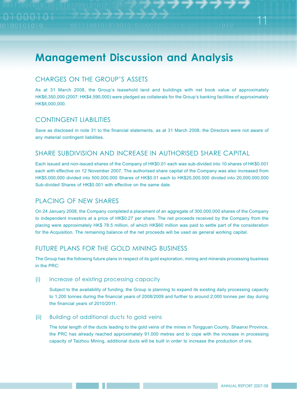### CHARGES ON THE GROUP'S ASSETS

As at 31 March 2008, the Group's leasehold land and buildings with net book value of approximately HK\$6,350,000 (2007: HK\$4,590,000) were pledged as collaterals for the Group's banking facilities of approximately HK\$8,000,000.

### CONTINGENT LIABILITIES

Save as disclosed in note 31 to the financial statements, as at 31 March 2008, the Directors were not aware of any material contingent liabilities.

### SHARE SUBDIVISION AND INCREASE IN AUTHORISED SHARE CAPITAL

Each issued and non-issued shares of the Company of HK\$0.01 each was sub-divided into 10 shares of HK\$0.001 each with effective on 12 November 2007. The authorised share capital of the Company was also increased from HK\$5,000,000 divided into 500,000,000 Shares of HK\$0.01 each to HK\$20,000,000 divided into 20,000,000,000 Sub-divided Shares of HK\$0.001 with effective on the same date.

### PLACING OF NEW SHARES

On 24 January 2008, the Company completed a placement of an aggregate of 300,000,000 shares of the Company to independent investors at a price of HK\$0.27 per share. The net proceeds received by the Company from the placing were approximately HK\$ 78.5 million, of which HK\$60 million was paid to settle part of the consideration for the Acquisition. The remaining balance of the net proceeds will be used as general working capital.

### FUTURE PLANS FOR THE GOLD MINING BUSINESS

The Group has the following future plans in respect of its gold exploration, mining and minerals processing business in the PRC:

#### (i) Increase of existing processing capacity

Subject to the availability of funding, the Group is planning to expand its existing daily processing capacity to 1,200 tonnes during the financial years of 2008/2009 and further to around 2,000 tonnes per day during the financial years of 2010/2011.

#### (ii) Building of additional ducts to gold veins

The total length of the ducts leading to the gold veins of the mines in Tongguan County, Shaanxi Province, the PRC has already reached approximately 91,000 metres and to cope with the increase in processing capacity of Taizhou Mining, additional ducts will be built in order to increase the production of ore.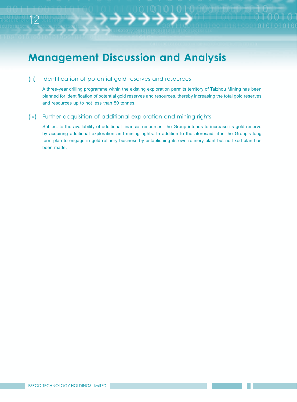#### (iii) Identification of potential gold reserves and resources

12

A three-year drilling programme within the existing exploration permits territory of Taizhou Mining has been planned for identification of potential gold reserves and resources, thereby increasing the total gold reserves and resources up to not less than 50 tonnes.

#### (iv) Further acquisition of additional exploration and mining rights

Subject to the availability of additional financial resources, the Group intends to increase its gold reserve by acquiring additional exploration and mining rights. In addition to the aforesaid, it is the Group's long term plan to engage in gold refinery business by establishing its own refinery plant but no fixed plan has been made.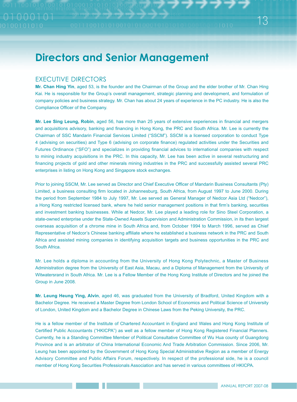### **Directors and Senior Management**

#### EXECUTIVE DIRECTORS

**Mr. Chan Hing Yin**, aged 53, is the founder and the Chairman of the Group and the elder brother of Mr. Chan Hing Kai. He is responsible for the Group's overall management, strategic planning and development, and formulation of company policies and business strategy. Mr. Chan has about 24 years of experience in the PC industry. He is also the Compliance Officer of the Company.

**Mr. Lee Sing Leung, Robin**, aged 56, has more than 25 years of extensive experiences in financial and mergers and acquisitions advisory, banking and financing in Hong Kong, the PRC and South Africa. Mr. Lee is currently the Chairman of SSC Mandarin Financial Services Limited ("SSCM"). SSCM is a licensed corporation to conduct Type 4 (advising on securities) and Type 6 (advising on corporate finance) regulated activities under the Securities and Futures Ordinance ("SFO") and specializes in providing financial advices to international companies with respect to mining industry acquisitions in the PRC. In this capacity, Mr. Lee has been active in several restructuring and financing projects of gold and other minerals mining industries in the PRC and successfully assisted several PRC enterprises in listing on Hong Kong and Singapore stock exchanges.

Prior to joining SSCM, Mr. Lee served as Director and Chief Executive Officer of Mandarin Business Consultants (Pty) Limited, a business consulting firm located in Johannesburg, South Africa, from August 1997 to June 2000. During the period from September 1984 to July 1997, Mr. Lee served as General Manager of Nedcor Asia Ltd ("Nedcor"), a Hong Kong restricted licensed bank, where he held senior management positions in that firm's banking, securities and investment banking businesses. While at Nedcor, Mr. Lee played a leading role for Sino Steel Corporation, a state-owned enterprise under the State-Owned Assets Supervision and Administration Commission, in its then largest overseas acquisition of a chrome mine in South Africa and, from October 1994 to March 1996, served as Chief Representative of Nedcor's Chinese banking affiliate where he established a business network in the PRC and South Africa and assisted mining companies in identifying acquisition targets and business opportunities in the PRC and South Africa.

Mr. Lee holds a diploma in accounting from the University of Hong Kong Polytechnic, a Master of Business Administration degree from the University of East Asia, Macau, and a Diploma of Management from the University of Witwatersrand in South Africa. Mr. Lee is a Fellow Member of the Hong Kong Institute of Directors and he joined the Group in June 2008.

**Mr. Leung Heung Ying, Alvin**, aged 46, was graduated from the University of Bradford, United Kingdom with a Bachelor Degree. He received a Master Degree from London School of Economics and Political Science of University of London, United Kingdom and a Bachelor Degree in Chinese Laws from the Peking University, the PRC.

He is a fellow member of the Institute of Chartered Accountant in England and Wales and Hong Kong Institute of Certified Public Accountants ("HKICPA") as well as a fellow member of Hong Kong Registered Financial Planners. Currently, he is a Standing Committee Member of Political Consultative Committee of Wu Hua county of Guangdong Province and is an arbitrator of China International Economic And Trade Arbitration Commission. Since 2006, Mr. Leung has been appointed by the Government of Hong Kong Special Administrative Region as a member of Energy Advisory Committee and Public Affairs Forum, respectively. In respect of the professional side, he is a council member of Hong Kong Securities Professionals Association and has served in various committees of HKICPA.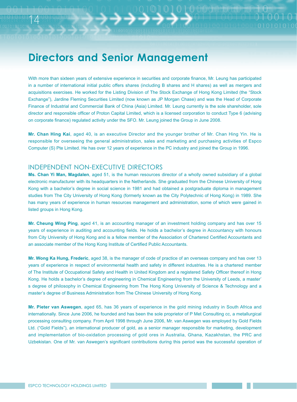### **Directors and Senior Management**

With more than sixteen years of extensive experience in securities and corporate finance, Mr. Leung has participated in a number of international initial public offers shares (including B shares and H shares) as well as mergers and acquisitions exercises. He worked for the Listing Division of The Stock Exchange of Hong Kong Limited (the "Stock Exchange"), Jardine Fleming Securities Limited (now known as JP Morgan Chase) and was the Head of Corporate Finance of Industrial and Commercial Bank of China (Asia) Limited. Mr. Leung currently is the sole shareholder, sole director and responsible officer of Proton Capital Limited, which is a licensed corporation to conduct Type 6 (advising on corporate finance) regulated activity under the SFO. Mr. Leung joined the Group in June 2008.

**Mr. Chan Hing Kai**, aged 40, is an executive Director and the younger brother of Mr. Chan Hing Yin. He is responsible for overseeing the general administration, sales and marketing and purchasing activities of Espco Computer (S) Pte Limited. He has over 12 years of experience in the PC industry and joined the Group in 1996.

#### INDEPENDENT NON-EXECUTIVE DIRECTORS

14

Ms. Chan Yi Man, Magdalen, aged 51, is the human resources director of a wholly owned subsidiary of a global electronic manufacturer with its headquarters in the Netherlands. She graduated from the Chinese University of Hong Kong with a bachelor's degree in social science in 1981 and had obtained a postgraduate diploma in management studies from The City University of Hong Kong (formerly known as the City Polytechnic of Hong Kong) in 1989. She has many years of experience in human resources management and administration, some of which were gained in listed groups in Hong Kong.

**Mr. Cheung Wing Ping**, aged 41, is an accounting manager of an investment holding company and has over 15 years of experience in auditing and accounting fields. He holds a bachelor's degree in Accountancy with honours from City University of Hong Kong and is a fellow member of the Association of Chartered Certified Accountants and an associate member of the Hong Kong Institute of Certified Public Accountants.

**Mr. Wong Ka Hung, Frederic**, aged 38, is the manager of code of practice of an overseas company and has over 13 years of experience in respect of environmental health and safety in different industries. He is a chartered member of The Institute of Occupational Safety and Health in United Kingdom and a registered Safety Officer thereof in Hong Kong. He holds a bachelor's degree of engineering in Chemical Engineering from the University of Leeds, a master' s degree of philosophy in Chemical Engineering from The Hong Kong University of Science & Technology and a master's degree of Business Administration from The Chinese University of Hong Kong.

Mr. Pieter van Aswegen, aged 65, has 36 years of experience in the gold mining industry in South Africa and internationally. Since June 2006, he founded and has been the sole proprietor of P Met Consulting cc, a metallurgical processing consulting company. From April 1998 through June 2006, Mr. van Aswegen was employed by Gold Fields Ltd. ("Gold Fields"), an international producer of gold, as a senior manager responsible for marketing, development and implementation of bio-oxidation processing of gold ores in Australia, Ghana, Kazakhstan, the PRC and Uzbekistan. One of Mr. van Aswegen's significant contributions during this period was the successful operation of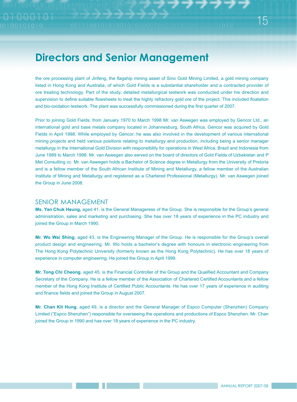# **Directors and Senior Management**

the ore processing plant of Jinfeng, the flagship mining asset of Sino Gold Mining Limited, a gold mining company listed in Hong Kong and Australia, of which Gold Fields is a substantial shareholder and a contracted provider of ore treating technology. Part of the study, detailed metallurgical testwork was conducted under his direction and supervision to define suitable flowsheets to treat the highly refractory gold ore of the project. This included floatation and bio-oxidation testwork. The plant was successfully commissioned during the first quarter of 2007.

Prior to joining Gold Fields, from January 1970 to March 1998 Mr. van Aswegen was employed by Gencor Ltd., an international gold and base metals company located in Johannesburg, South Africa. Gencor was acquired by Gold Fields in April 1998. While employed by Gencor, he was also involved in the development of various international mining projects and held various positions relating to metallurgy and production, including being a senior manager metallurgy in the International Gold Division with responsibility for operations in West Africa, Brazil and Indonesia from June 1989 to March 1998. Mr. van Aswegen also served on the board of directors of Gold Fields of Uzbekistan and P Met Consulting cc. Mr. van Aswegen holds a Bachelor of Science degree in Metallurgy from the University of Pretoria and is a fellow member of the South African Institute of Mining and Metallurgy, a fellow member of the Australian Institute of Mining and Metallurgy and registered as a Chartered Professional (Metallurgy). Mr. van Aswegen joined the Group in June 2008.

#### SENIOR MANAGEMENT

**Ms. Yan Chuk Heung,** aged 41, is the General Manageress of the Group. She is responsible for the Group's general administration, sales and marketing and purchasing. She has over 18 years of experience in the PC industry and joined the Group in March 1990.

**Mr. Wo Wai Shing**, aged 43, is the Engineering Manager of the Group. He is responsible for the Group's overall product design and engineering. Mr. Wo holds a bachelor's degree with honours in electronic engineering from The Hong Kong Polytechnic University (formerly known as the Hong Kong Polytechnic). He has over 18 years of experience in computer engineering. He joined the Group in April 1999.

**Mr. Tong Chi Cheong**, aged 45, is the Financial Controller of the Group and the Qualified Accountant and Company Secretary of the Company. He is a fellow member of the Association of Chartered Certified Accountants and a fellow member of the Hong Kong Institute of Certified Public Accountants. He has over 17 years of experience in auditing and finance fields and joined the Group in August 2007.

**Mr. Chan Kit Hung**, aged 49, is a director and the General Manager of Espco Computer (Shenzhen) Company Limited ("Espco Shenzhen") responsible for overseeing the operations and productions of Espco Shenzhen. Mr. Chan joined the Group in 1990 and has over 18 years of experience in the PC industry.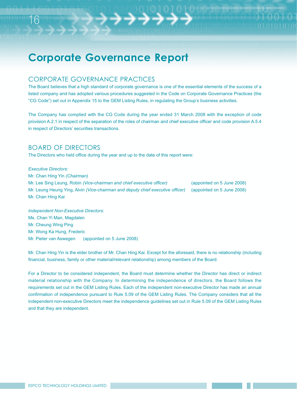### CORPORATE GOVERNANCE PRACTICES

The Board believes that a high standard of corporate governance is one of the essential elements of the success of a listed company and has adopted various procedures suggested in the Code on Corporate Governance Practices (the "CG Code") set out in Appendix 15 to the GEM Listing Rules, in regulating the Group's business activities.

The Company has complied with the CG Code during the year ended 31 March 2008 with the exception of code provision A.2.1 in respect of the separation of the roles of chairman and chief executive officer and code provision A.5.4 in respect of Directors' securities transactions.

### BOARD OF DIRECTORS

16

The Directors who held office during the year and up to the date of this report were:

*Executive Directors:* Mr. Chan Hing Yin *(Chairman)* Mr. Lee Sing Leung, Robin *(Vice-chairman and chief executive officer)* (appointed on 5 June 2008) Mr. Leung Heung Ying, Alvin *(Vice-chairman and deputy chief executive officer)* (appointed on 5 June 2008) Mr. Chan Hing Kai

*Independent Non-Executive Directors:* Ms. Chan Yi Man, Magdalen Mr. Cheung Wing Ping Mr. Wong Ka Hung, Frederic Mr. Pieter van Aswegen (appointed on 5 June 2008)

Mr. Chan Hing Yin is the elder brother of Mr. Chan Hing Kai. Except for the aforesaid, there is no relationship (including financial, business, family or other material/relevant relationship) among members of the Board.

For a Director to be considered independent, the Board must determine whether the Director has direct or indirect material relationship with the Company. In determining the independence of directors, the Board follows the requirements set out in the GEM Listing Rules. Each of the independent non-executive Director has made an annual confirmation of independence pursuant to Rule 5.09 of the GEM Listing Rules. The Company considers that all the independent non-executive Directors meet the independence guidelines set out in Rule 5.09 of the GEM Listing Rules and that they are independent.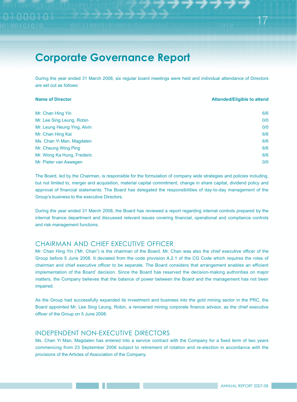During the year ended 31 March 2008, six regular board meetings were held and individual attendance of Directors are set out as follows:

| <b>Name of Director</b>     | <b>Attended/Eligible to attend</b> |
|-----------------------------|------------------------------------|
| Mr. Chan Hing Yin           | 6/6                                |
| Mr. Lee Sing Leung, Robin   | 0/0                                |
| Mr. Leung Heung Ying, Alvin | 0/0                                |
| Mr. Chan Hing Kai           | 6/6                                |
| Ms. Chan Yi Man, Magdalen   | 6/6                                |
| Mr. Cheung Wing Ping        | 6/6                                |
| Mr. Wong Ka Hung, Frederic  | 6/6                                |
| Mr. Pieter van Aswegen      | 0/0                                |

The Board, led by the Chairman, is responsible for the formulation of company wide strategies and policies including, but not limited to, merger and acquisition, material capital commitment, change in share capital, dividend policy and approval of financial statements. The Board has delegated the responsibilities of day-to-day management of the Group's business to the executive Directors.

During the year ended 31 March 2008, the Board has reviewed a report regarding internal controls prepared by the internal finance department and discussed relevant issues covering financial, operational and compliance controls and risk management functions.

### CHAIRMAN AND CHIEF EXECUTIVE OFFICER

Mr. Chan Hing Yin ("Mr. Chan") is the chairman of the Board. Mr. Chan was also the chief executive officer of the Group before 5 June 2008. It deviated from the code provision A.2.1 of the CG Code which requires the roles of chairman and chief executive officer to be separate. The Board considers that arrangement enables an efficient implementation of the Board' decision. Since the Board has reserved the decision-making authorities on major matters, the Company believes that the balance of power between the Board and the management has not been impaired.

As the Group had successfully expanded its investment and business into the gold mining sector in the PRC, the Board appointed Mr. Lee Sing Leung, Robin, a renowned mining corporate finance advisor, as the chief executive officer of the Group on 5 June 2008.

### INDEPENDENT NON-EXECUTIVE DIRECTORS

Ms. Chan Yi Man, Magdalen has entered into a service contract with the Company for a fixed term of two years commencing from 23 September 2006 subject to retirement of rotation and re-election in accordance with the provisions of the Articles of Association of the Company.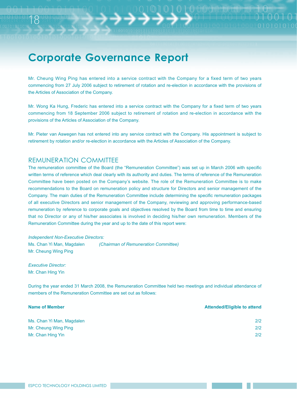Mr. Cheung Wing Ping has entered into a service contract with the Company for a fixed term of two years commencing from 27 July 2006 subject to retirement of rotation and re-election in accordance with the provisions of the Articles of Association of the Company.

Mr. Wong Ka Hung, Frederic has entered into a service contract with the Company for a fixed term of two years commencing from 18 September 2006 subject to retirement of rotation and re-election in accordance with the provisions of the Articles of Association of the Company.

Mr. Pieter van Aswegen has not entered into any service contract with the Company. His appointment is subject to retirement by rotation and/or re-election in accordance with the Articles of Association of the Company.

#### REMUNERATION COMMITTEE

The remuneration committee of the Board (the "Remuneration Committee") was set up in March 2006 with specific written terms of reference which deal clearly with its authority and duties. The terms of reference of the Remuneration Committee have been posted on the Company's website. The role of the Remuneration Committee is to make recommendations to the Board on remuneration policy and structure for Directors and senior management of the Company. The main duties of the Remuneration Committee include determining the specific remuneration packages of all executive Directors and senior management of the Company, reviewing and approving performance-based remuneration by reference to corporate goals and objectives resolved by the Board from time to time and ensuring that no Director or any of his/her associates is involved in deciding his/her own remuneration. Members of the Remuneration Committee during the year and up to the date of this report were:

*Independent Non-Executive Directors:* Ms. Chan Yi Man, Magdalen *(Chairman of Remuneration Committee)* Mr. Cheung Wing Ping

*Executive Director:* Mr. Chan Hing Yin

18

During the year ended 31 March 2008, the Remuneration Committee held two meetings and individual attendance of members of the Remuneration Committee are set out as follows:

| <b>Name of Member</b>     | <b>Attended/Eligible to attend</b> |
|---------------------------|------------------------------------|
| Ms. Chan Yi Man, Magdalen | 212                                |
| Mr. Cheung Wing Ping      | 212                                |
| Mr. Chan Hing Yin         | 212                                |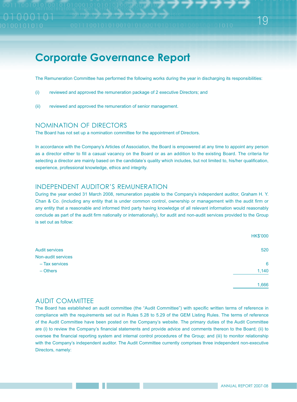The Remuneration Committee has performed the following works during the year in discharging its responsibilities:

- (i) reviewed and approved the remuneration package of 2 executive Directors; and
- (ii) reviewed and approved the remuneration of senior management.

#### NOMINATION OF DIRECTORS

The Board has not set up a nomination committee for the appointment of Directors.

In accordance with the Company's Articles of Association, the Board is empowered at any time to appoint any person as a director either to fill a casual vacancy on the Board or as an addition to the existing Board. The criteria for selecting a director are mainly based on the candidate's quality which includes, but not limited to, his/her qualification, experience, professional knowledge, ethics and integrity.

#### INDEPENDENT AUDITOR'S REMUNERATION

During the year ended 31 March 2008, remuneration payable to the Company's independent auditor, Graham H. Y. Chan & Co. (including any entity that is under common control, ownership or management with the audit firm or any entity that a reasonable and informed third party having knowledge of all relevant information would reasonably conclude as part of the audit firm nationally or internationally), for audit and non-audit services provided to the Group is set out as follow:

|                       | <b>HK\$'000</b> |
|-----------------------|-----------------|
| <b>Audit services</b> | 520             |
| Non-audit services    |                 |
| - Tax services        | 6               |
| $-$ Others            | 1,140           |
|                       | 1,666           |

#### AUDIT COMMITTEE

The Board has established an audit committee (the "Audit Committee") with specific written terms of reference in compliance with the requirements set out in Rules 5.28 to 5.29 of the GEM Listing Rules. The terms of reference of the Audit Committee have been posted on the Company's website. The primary duties of the Audit Committee are (i) to review the Company's financial statements and provide advice and comments thereon to the Board; (ii) to oversee the financial reporting system and internal control procedures of the Group; and (iii) to monitor relationship with the Company's independent auditor. The Audit Committee currently comprises three independent non-executive Directors, namely: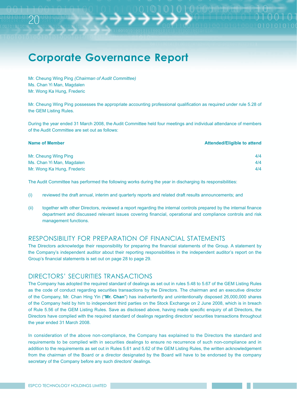Mr. Cheung Wing Ping *(Chairman of Audit Committee)* Ms. Chan Yi Man, Magdalen Mr. Wong Ka Hung, Frederic

20

Mr. Cheung Wing Ping possesses the appropriate accounting professional qualification as required under rule 5.28 of the GEM Listing Rules.

During the year ended 31 March 2008, the Audit Committee held four meetings and individual attendance of members of the Audit Committee are set out as follows:

| <b>Name of Member</b>      | <b>Attended/Eligible to attend</b> |
|----------------------------|------------------------------------|
| Mr. Cheung Wing Ping       | 4/4                                |
| Ms. Chan Yi Man, Magdalen  | 4/4                                |
| Mr. Wong Ka Hung, Frederic | 4/4                                |

The Audit Committee has performed the following works during the year in discharging its responsibilities:

- (i) reviewed the draft annual, interim and quarterly reports and related draft results announcements; and
- (ii) together with other Directors, reviewed a report regarding the internal controls prepared by the internal finance department and discussed relevant issues covering financial, operational and compliance controls and risk management functions.

#### RESPONSIBILITY FOR PREPARATION OF FINANCIAL STATEMENTS

The Directors acknowledge their responsibility for preparing the financial statements of the Group. A statement by the Company's independent auditor about their reporting responsibilities in the independent auditor's report on the Group's financial statements is set out on page 28 to page 29.

#### DIRECTORS' SECURITIES TRANSACTIONS

The Company has adopted the required standard of dealings as set out in rules 5.48 to 5.67 of the GEM Listing Rules as the code of conduct regarding securities transactions by the Directors. The chairman and an executive director of the Company, Mr. Chan Hing Yin ("**Mr. Chan**") has inadvertently and unintentionally disposed 26,000,000 shares of the Company held by him to independent third parties on the Stock Exchange on 2 June 2008, which is in breach of Rule 5.56 of the GEM Listing Rules. Save as disclosed above, having made specific enquiry of all Directors, the Directors have complied with the required standard of dealings regarding directors' securities transactions throughout the year ended 31 March 2008.

In consideration of the above non-compliance, the Company has explained to the Directors the standard and requirements to be complied with in securities dealings to ensure no recurrence of such non-compliance and in addition to the requirements as set out in Rules 5.61 and 5.62 of the GEM Listing Rules, the written acknowledgement from the chairman of the Board or a director designated by the Board will have to be endorsed by the company secretary of the Company before any such directors' dealings.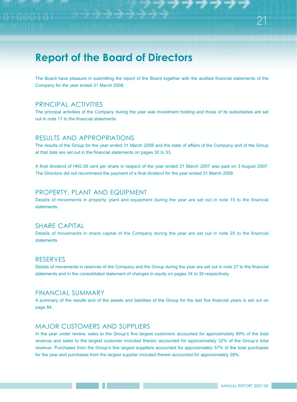The Board have pleasure in submitting the report of the Board together with the audited financial statements of the Company for the year ended 31 March 2008.

### PRINCIPAL ACTIVITIES

The principal activities of the Company during the year was investment holding and those of its subsidiaries are set out in note 17 to the financial statements.

#### RESULTS AND APPROPRIATIONS

The results of the Group for the year ended 31 March 2008 and the state of affairs of the Company and of the Group at that date are set out in the financial statements on pages 30 to 33.

A final dividend of HK0.39 cent per share in respect of the year ended 31 March 2007 was paid on 3 August 2007. The Directors did not recommend the payment of a final dividend for the year ended 31 March 2008.

### PROPERTY, PLANT AND EQUIPMENT

Details of movements in property, plant and equipment during the year are set out in note 15 to the financial statements.

#### SHARE CAPITAL

Details of movements in share capital of the Company during the year are set out in note 25 to the financial statements.

#### RESERVES

Details of movements in reserves of the Company and the Group during the year are set out in note 27 to the financial statements and in the consolidated statement of changes in equity on pages 34 to 35 respectively.

### FINANCIAL SUMMARY

A summary of the results and of the assets and liabilities of the Group for the last five financial years is set out on page 84.

### MAJOR CUSTOMERS AND SUPPLIERS

In the year under review, sales to the Group's five largest customers accounted for approximately 69% of the total revenue and sales to the largest customer included therein accounted for approximately 32% of the Group's total revenue. Purchases from the Group's five largest suppliers accounted for approximately 57% of the total purchases for the year and purchases from the largest supplier included therein accounted for approximately 28%.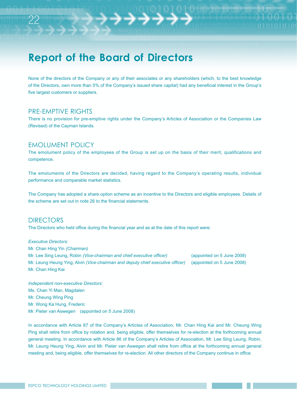None of the directors of the Company or any of their associates or any shareholders (which, to the best knowledge of the Directors, own more than 5% of the Company's issued share capital) had any beneficial interest in the Group's five largest customers or suppliers.

#### PRE-EMPTIVE RIGHTS

22

There is no provision for pre-emptive rights under the Company's Articles of Association or the Companies Law (Revised) of the Cayman Islands.

#### EMOLUMENT POLICY

The emolument policy of the employees of the Group is set up on the basis of their merit, qualifications and competence.

The emoluments of the Directors are decided, having regard to the Company's operating results, individual performance and comparable market statistics.

The Company has adopted a share option scheme as an incentive to the Directors and eligible employees. Details of the scheme are set out in note 26 to the financial statements.

#### DIRECTORS

The Directors who held office during the financial year and as at the date of this report were:

*Executive Directors:* Mr. Chan Hing Yin (Chairman) 00B) Mr. Lee Sing Leung, Robin *(Vice-chairman and chief executive officer)* (appointed on 5 June 2008) Mr. Leung Heung Ying, Alvin (Vice-chairman and deputy chief executive officer) (appointed on 5 June 2008) Mr. Chan Hing Kai

*Independent non-executive Directors:* Ms. Chan Yi Man, Magdalen Mr. Cheung Wing Ping Mr. Wong Ka Hung, Frederic Mr. Pieter van Aswegen (appointed on 5 June 2008)

In accordance with Article 87 of the Company's Articles of Association, Mr. Chan Hing Kai and Mr. Cheung Wing Ping shall retire from office by rotation and, being eligible, offer themselves for re-election at the forthcoming annual general meeting. In accordance with Article 86 of the Company's Articles of Association, Mr. Lee Sing Leung, Robin, Mr. Leung Heung Ying, Alvin and Mr. Pieter van Aswegen shall retire from office at the forthcoming annual general meeting and, being eligible, offer themselves for re-election. All other directors of the Company continue in office.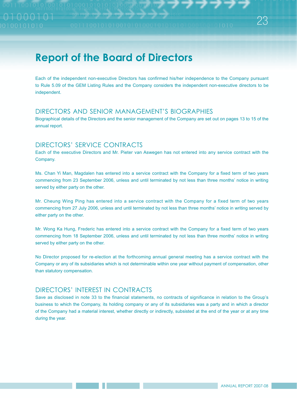Each of the independent non-executive Directors has confirmed his/her independence to the Company pursuant to Rule 5.09 of the GEM Listing Rules and the Company considers the independent non-executive directors to be independent.

#### DIRECTORS AND SENIOR MANAGEMENT'S BIOGRAPHIES

Biographical details of the Directors and the senior management of the Company are set out on pages 13 to 15 of the annual report.

### DIRECTORS' SERVICE CONTRACTS

Each of the executive Directors and Mr. Pieter van Aswegen has not entered into any service contract with the Company.

Ms. Chan Yi Man, Magdalen has entered into a service contract with the Company for a fixed term of two years commencing from 23 September 2006, unless and until terminated by not less than three months' notice in writing served by either party on the other.

Mr. Cheung Wing Ping has entered into a service contract with the Company for a fixed term of two years commencing from 27 July 2006, unless and until terminated by not less than three months' notice in writing served by either party on the other.

Mr. Wong Ka Hung, Frederic has entered into a service contract with the Company for a fixed term of two years commencing from 18 September 2006, unless and until terminated by not less than three months' notice in writing served by either party on the other.

No Director proposed for re-election at the forthcoming annual general meeting has a service contract with the Company or any of its subsidiaries which is not determinable within one year without payment of compensation, other than statutory compensation.

### DIRECTORS' INTEREST IN CONTRACTS

Save as disclosed in note 33 to the financial statements, no contracts of significance in relation to the Group's business to which the Company, its holding company or any of its subsidiaries was a party and in which a director of the Company had a material interest, whether directly or indirectly, subsisted at the end of the year or at any time during the year.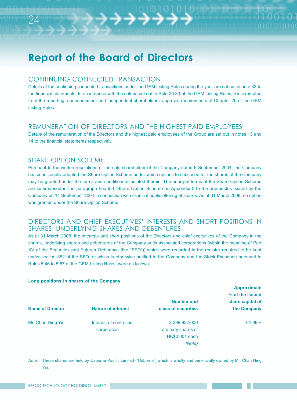#### CONTINUING CONNECTED TRANSACTION

Details of the continuing connected transactions under the GEM Listing Rules during the year are set out in note 33 to the financial statements. In accordance with the criteria set out in Rule 20.33 of the GEM Listing Rules, it is exempted from the reporting, announcement and independent shareholders' approval requirements of Chapter 20 of the GEM Listing Rules.

### REMUNERATION OF DIRECTORS AND THE HIGHEST PAID EMPLOYEES

Details of the remuneration of the Directors and the highest paid employees of the Group are set out in notes 13 and 14 to the financial statements respectively.

#### SHARE OPTION SCHEME

24

Pursuant to the written resolutions of the sole shareholder of the Company dated 6 September 2004, the Company has conditionally adopted the Share Option Scheme under which options to subscribe for the shares of the Company may be granted under the terms and conditions stipulated therein. The principal terms of the Share Option Scheme are summarised in the paragraph headed "Share Option Scheme" in Appendix 5 to the prospectus issued by the Company on 14 September 2004 in connection with its initial public offering of shares. As at 31 March 2008, no option was granted under the Share Option Scheme.

#### DIRECTORS AND CHIEF EXECUTIVES' INTERESTS AND SHORT POSITIONS IN SHARES, UNDERLYING SHARES AND DEBENTURES

As at 31 March 2008, the interests and short positions of the Directors and chief executives of the Company in the shares, underlying shares and debentures of the Company or its associated corporations (within the meaning of Part XV of the Securities and Futures Ordinance (the "SFO")) which were recorded in the register required to be kept under section 352 of the SFO, or which is otherwise notified to the Company and the Stock Exchange pursuant to Rules 5.46 to 5.67 of the GEM Listing Rules, were as follows:

#### **Long positions in shares of the Company**

|                         |                           |                     | <b>Approximate</b> |
|-------------------------|---------------------------|---------------------|--------------------|
|                         |                           |                     | % of the issued    |
|                         |                           | <b>Number and</b>   | share capital of   |
| <b>Name of Director</b> | <b>Nature of interest</b> | class of securities | the Company        |
| Mr. Chan Hing Yin       | Interest of controlled    | 2,399,922,000       | 61.99%             |
|                         | corporation               | ordinary shares of  |                    |
|                         |                           | HK\$0.001 each      |                    |
|                         |                           | (Note)              |                    |

*Note:* These shares are held by Osborne Pacific Limited ("Osborne") which is wholly and beneficially owned by Mr. Chan Hing Yin.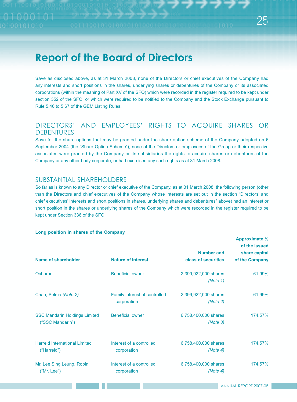Save as disclosed above, as at 31 March 2008, none of the Directors or chief executives of the Company had any interests and short positions in the shares, underlying shares or debentures of the Company or its associated corporations (within the meaning of Part XV of the SFO) which were recorded in the register required to be kept under section 352 of the SFO, or which were required to be notified to the Company and the Stock Exchange pursuant to Rule 5.46 to 5.67 of the GEM Listing Rules.

### DIRECTORS' AND EMPLOYEES' RIGHTS TO ACQUIRE SHARES OR **DEBENTURES**

Save for the share options that may be granted under the share option scheme of the Company adopted on 6 September 2004 (the "Share Option Scheme"), none of the Directors or employees of the Group or their respective associates were granted by the Company or its subsidiaries the rights to acquire shares or debentures of the Company or any other body corporate, or had exercised any such rights as at 31 March 2008.

### SUBSTANTIAL SHAREHOLDERS

So far as is known to any Director or chief executive of the Company, as at 31 March 2008, the following person (other than the Directors and chief executives of the Company whose interests are set out in the section "Directors' and chief executives' interests and short positions in shares, underlying shares and debentures" above) had an interest or short position in the shares or underlying shares of the Company which were recorded in the register required to be kept under Section 336 of the SFO:

#### **Long position in shares of the Company**

| Name of shareholder                                      | <b>Nature of interest</b>                           | <b>Number and</b><br>class of securities | of the issued<br>share capital<br>of the Company |
|----------------------------------------------------------|-----------------------------------------------------|------------------------------------------|--------------------------------------------------|
|                                                          |                                                     |                                          |                                                  |
| Osborne                                                  | <b>Beneficial owner</b>                             | 2,399,922,000 shares<br>(Note 1)         | 61.99%                                           |
| Chan, Selma (Note 2)                                     | <b>Family interest of controlled</b><br>corporation | 2,399,922,000 shares<br>(Note 2)         | 61.99%                                           |
| <b>SSC Mandarin Holdings Limited</b><br>("SSC Mandarin") | <b>Beneficial owner</b>                             | 6,758,400,000 shares<br>(Note 3)         | 174.57%                                          |
| <b>Harreld International Limited</b><br>("Harreld")      | Interest of a controlled<br>corporation             | 6,758,400,000 shares<br>(Note 4)         | 174.57%                                          |
| Mr. Lee Sing Leung, Robin<br>("Mr. Lee")                 | Interest of a controlled<br>corporation             | 6,758,400,000 shares<br>(Note 4)         | 174.57%                                          |

**Approximate %**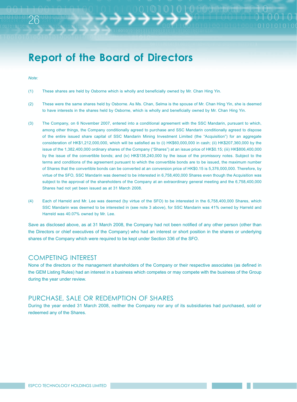#### *Note:*

26

- (1) These shares are held by Osborne which is wholly and beneficially owned by Mr. Chan Hing Yin.
- (2) These were the same shares held by Osborne. As Ms. Chan, Selma is the spouse of Mr. Chan Hing Yin, she is deemed to have interests in the shares held by Osborne, which is wholly and beneficially owned by Mr. Chan Hing Yin.
- (3) The Company, on 6 November 2007, entered into a conditional agreement with the SSC Mandarin, pursuant to which, among other things, the Company conditionally agreed to purchase and SSC Mandarin conditionally agreed to dispose of the entire issued share capital of SSC Mandarin Mining Investment Limited (the "Acquisition") for an aggregate consideration of HK\$1,212,000,000, which will be satisfied as to (i) HK\$60,000,000 in cash; (ii) HK\$207,360,000 by the issue of the 1,382,400,000 ordinary shares of the Company ("Shares") at an issue price of HK\$0.15; (iii) HK\$806,400,000 by the issue of the convertible bonds; and (iv) HK\$138,240,000 by the issue of the promissory notes. Subject to the terms and conditions of the agreement pursuant to which the convertible bonds are to be issued, the maximum number of Shares that the convertible bonds can be converted at an conversion price of HK\$0.15 is 5,376,000,000. Therefore, by virtue of the SFO, SSC Mandarin was deemed to be interested in 6,758,400,000 Shares even though the Acquisition was subject to the approval of the shareholders of the Company at an extraordinary general meeting and the 6,758,400,000 Shares had not yet been issued as at 31 March 2008.
- (4) Each of Harreld and Mr. Lee was deemed (by virtue of the SFO) to be interested in the 6,758,400,000 Shares, which SSC Mandarin was deemed to be interested in (see note 3 above), for SSC Mandarin was 41% owned by Harreld and Harreld was 40.07% owned by Mr. Lee.

Save as disclosed above, as at 31 March 2008, the Company had not been notified of any other person (other than the Directors or chief executives of the Company) who had an interest or short position in the shares or underlying shares of the Company which were required to be kept under Section 336 of the SFO.

#### COMPETING INTEREST

None of the directors or the management shareholders of the Company or their respective associates (as defined in the GEM Listing Rules) had an interest in a business which competes or may compete with the business of the Group during the year under review.

#### PURCHASE, SALE OR REDEMPTION OF SHARES

During the year ended 31 March 2008, neither the Company nor any of its subsidiaries had purchased, sold or redeemed any of the Shares.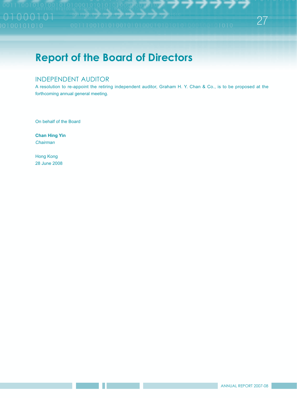### INDEPENDENT AUDITOR

A resolution to re-appoint the retiring independent auditor, Graham H. Y. Chan & Co., is to be proposed at the forthcoming annual general meeting.

On behalf of the Board

**Chan Hing Yin** *Chairman*

Hong Kong 28 June 2008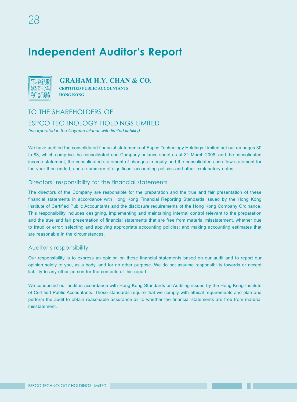# **Independent Auditor's Report**



### **GRAHAM H.Y. CHAN & CO.**

**CERTIFIED PUBLIC ACCOUNTANTS HONG KONG** 

### TO THE SHAREHOLDERS OF

#### ESPCO TECHNOLOGY HOLDINGS LIMITED

*(incorporated in the Cayman Islands with limited liability)*

We have audited the consolidated financial statements of Espco Technology Holdings Limited set out on pages 30 to 83, which comprise the consolidated and Company balance sheet as at 31 March 2008, and the consolidated income statement, the consolidated statement of changes in equity and the consolidated cash flow statement for the year then ended, and a summary of significant accounting policies and other explanatory notes.

#### Directors' responsibility for the financial statements

The directors of the Company are responsible for the preparation and the true and fair presentation of these financial statements in accordance with Hong Kong Financial Reporting Standards issued by the Hong Kong Institute of Certified Public Accountants and the disclosure requirements of the Hong Kong Company Ordinance. This responsibility includes designing, implementing and maintaining internal control relevant to the preparation and the true and fair presentation of financial statements that are free from material misstatement, whether due to fraud or error; selecting and applying appropriate accounting policies; and making accounting estimates that are reasonable in the circumstances.

#### Auditor's responsibility

Our responsibility is to express an opinion on these financial statements based on our audit and to report our opinion solely to you, as a body, and for no other purpose. We do not assume responsibility towards or accept liability to any other person for the contents of this report.

We conducted our audit in accordance with Hong Kong Standards on Auditing issued by the Hong Kong Institute of Certified Public Accountants. Those standards require that we comply with ethical requirements and plan and perform the audit to obtain reasonable assurance as to whether the financial statements are free from material misstatement.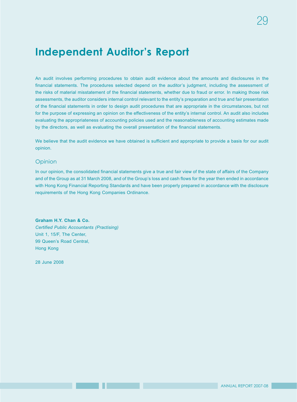# **Independent Auditor's Report**

An audit involves performing procedures to obtain audit evidence about the amounts and disclosures in the financial statements. The procedures selected depend on the auditor's judgment, including the assessment of the risks of material misstatement of the financial statements, whether due to fraud or error. In making those risk assessments, the auditor considers internal control relevant to the entity's preparation and true and fair presentation of the financial statements in order to design audit procedures that are appropriate in the circumstances, but not for the purpose of expressing an opinion on the effectiveness of the entity's internal control. An audit also includes evaluating the appropriateness of accounting policies used and the reasonableness of accounting estimates made by the directors, as well as evaluating the overall presentation of the financial statements.

We believe that the audit evidence we have obtained is sufficient and appropriate to provide a basis for our audit opinion.

#### **Opinion**

In our opinion, the consolidated financial statements give a true and fair view of the state of affairs of the Company and of the Group as at 31 March 2008, and of the Group's loss and cash flows for the year then ended in accordance with Hong Kong Financial Reporting Standards and have been properly prepared in accordance with the disclosure requirements of the Hong Kong Companies Ordinance.

**Graham H.Y. Chan & Co.** *Certified Public Accountants (Practising)* Unit 1, 15/F, The Center, 99 Queen's Road Central, Hong Kong

28 June 2008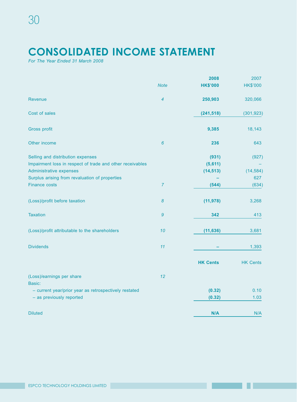# **CONSOLIDATED INCOME STATEMENT**

*For The Year Ended 31 March 2008*

|                                                           |                | 2008            | 2007            |
|-----------------------------------------------------------|----------------|-----------------|-----------------|
|                                                           | <b>Note</b>    | <b>HK\$'000</b> | <b>HK\$'000</b> |
| <b>Revenue</b>                                            | $\overline{4}$ | 250,903         | 320,066         |
| Cost of sales                                             |                | (241, 518)      | (301, 923)      |
| Gross profit                                              |                | 9,385           | 18,143          |
| Other income                                              | $6\phantom{a}$ | 236             | 643             |
| Selling and distribution expenses                         |                | (931)           | (927)           |
| Impairment loss in respect of trade and other receivables |                | (5,611)         |                 |
| Administrative expenses                                   |                | (14, 513)       | (14, 584)       |
| Surplus arising from revaluation of properties            |                |                 | 627             |
| <b>Finance costs</b>                                      | $\overline{7}$ | (544)           | (634)           |
| (Loss)/profit before taxation                             | $\pmb{8}$      | (11, 978)       | 3,268           |
| <b>Taxation</b>                                           | 9              | 342             | 413             |
| (Loss)/profit attributable to the shareholders            | 10             | (11, 636)       | 3,681           |
| <b>Dividends</b>                                          | 11             |                 | 1,393           |
|                                                           |                | <b>HK Cents</b> | <b>HK Cents</b> |
| (Loss)/earnings per share                                 | 12             |                 |                 |
| Basic:                                                    |                | (0.32)          | 0.10            |
| - current year/prior year as retrospectively restated     |                |                 |                 |
| - as previously reported                                  |                | (0.32)          | 1.03            |
| <b>Diluted</b>                                            |                | N/A             | N/A             |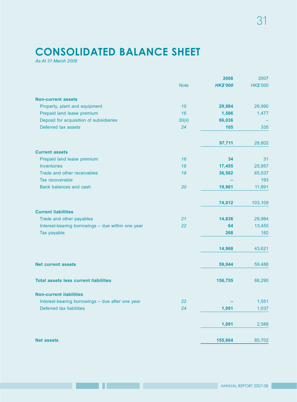# **CONSOLIDATED BALANCE SHEET**

*As At 31 March 2008*

|                                                   |             | 2008            | 2007            |
|---------------------------------------------------|-------------|-----------------|-----------------|
|                                                   | <b>Note</b> | <b>HK\$'000</b> | <b>HK\$'000</b> |
| <b>Non-current assets</b>                         |             |                 |                 |
| Property, plant and equipment                     | 15          | 29,984          | 26,990          |
| Prepaid land lease premium                        | 16          | 1,586           | 1,477           |
| Deposit for acquisition of subsidiaries           | 30(ii)      | 66,036          |                 |
| Deferred tax assets                               | 24          | 105             | 335             |
|                                                   |             | 97,711          | 28,802          |
| <b>Current assets</b>                             |             |                 |                 |
| Prepaid land lease premium                        | 16          | 34              | 31              |
| <b>Inventories</b>                                | 18          | 17,455          | 25,957          |
| Trade and other receivables                       | 19          | 36,562          | 65,037          |
| Tax recoverable                                   |             |                 | 193             |
| Bank balances and cash                            | 20          | 19,961          | 11,891          |
|                                                   |             | 74,012          | 103,109         |
| <b>Current liabilities</b>                        |             |                 |                 |
| Trade and other payables                          | 21          | 14,636          | 29,984          |
| Interest-bearing borrowings - due within one year | 22          | 64              | 13,455          |
| Tax payable                                       |             | 268             | 182             |
|                                                   |             | 14,968          | 43,621          |
| <b>Net current assets</b>                         |             | 59,044          | 59,488          |
| <b>Total assets less current liabilities</b>      |             | 156,755         | 88,290          |
| <b>Non-current liabilities</b>                    |             |                 |                 |
| Interest-bearing borrowings - due after one year  | 22          |                 | 1,551           |
| Deferred tax liabilities                          | 24          | 1,091           | 1,037           |
|                                                   |             | 1,091           | 2,588           |
| <b>Net assets</b>                                 |             | 155,664         | 85,702          |

**The Common**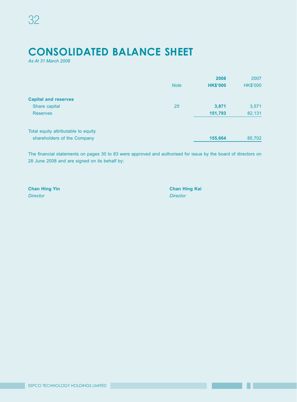# **CONSOLIDATED BALANCE SHEET**

*As At 31 March 2008*

|                                     |             | 2008            | 2007            |
|-------------------------------------|-------------|-----------------|-----------------|
|                                     | <b>Note</b> | <b>HK\$'000</b> | <b>HK\$'000</b> |
| <b>Capital and reserves</b>         |             |                 |                 |
| Share capital                       | 25          | 3,871           | 3,571           |
| <b>Reserves</b>                     |             | 151,793         | 82,131          |
| Total equity attributable to equity |             |                 |                 |
| shareholders of the Company         |             | 155,664         | 85,702          |

The financial statements on pages 30 to 83 were approved and authorised for issue by the board of directors on 28 June 2008 and are signed on its behalf by:

*Director Director*

**Chan Hing Yin Chan Hing Kai**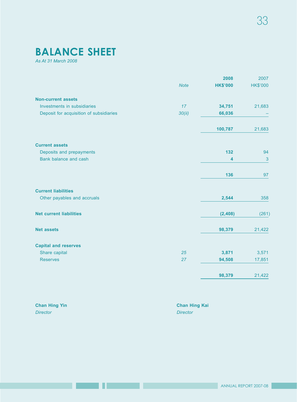# **BALANCE SHEET**

*As At 31 March 2008*

|                                         |             | 2008                    | 2007            |
|-----------------------------------------|-------------|-------------------------|-----------------|
|                                         | <b>Note</b> | <b>HK\$'000</b>         | <b>HK\$'000</b> |
| <b>Non-current assets</b>               |             |                         |                 |
| Investments in subsidiaries             | 17          | 34,751                  | 21,683          |
| Deposit for acquisition of subsidiaries | 30(ii)      | 66,036                  |                 |
|                                         |             | 100,787                 | 21,683          |
| <b>Current assets</b>                   |             |                         |                 |
| Deposits and prepayments                |             | 132                     | 94              |
| Bank balance and cash                   |             | $\overline{\mathbf{4}}$ | 3               |
|                                         |             | 136                     | 97              |
| <b>Current liabilities</b>              |             |                         |                 |
| Other payables and accruals             |             | 2,544                   | 358             |
| <b>Net current liabilities</b>          |             | (2, 408)                | (261)           |
| <b>Net assets</b>                       |             | 98,379                  | 21,422          |
| <b>Capital and reserves</b>             |             |                         |                 |
| Share capital                           | 25          | 3,871                   | 3,571           |
| <b>Reserves</b>                         | 27          | 94,508                  | 17,851          |
|                                         |             | 98,379                  | 21,422          |
|                                         |             |                         |                 |

| <b>Chan Hing Yin</b> | <b>Chan Hing Kai</b> |
|----------------------|----------------------|
| <b>Director</b>      | Director             |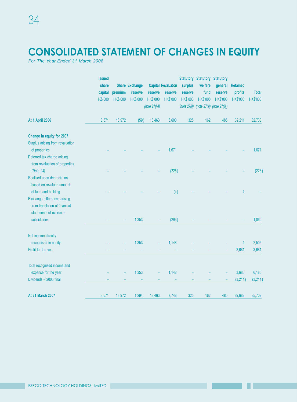# **CONSOLIDATED STATEMENT OF CHANGES IN EQUITY**

*For The Year Ended 31 March 2008*

| <b>Issued</b><br>share           |                 | <b>Share Exchange</b> |                 | <b>Capital Revaluation</b> | surplus         | welfare         | <b>Statutory Statutory Statutory</b><br>general | <b>Retained</b> |                 |
|----------------------------------|-----------------|-----------------------|-----------------|----------------------------|-----------------|-----------------|-------------------------------------------------|-----------------|-----------------|
| capital                          | premium         | reserve               | reserve         | reserve                    | reserve         | fund            | reserve                                         | profits         | <b>Total</b>    |
| <b>HK\$'000</b>                  | <b>HK\$'000</b> | <b>HK\$'000</b>       | <b>HK\$'000</b> | <b>HK\$'000</b>            | <b>HK\$'000</b> | <b>HK\$'000</b> | <b>HK\$'000</b>                                 | <b>HK\$'000</b> | <b>HK\$'000</b> |
|                                  |                 |                       | (note 27(iv))   |                            | (note 27(i))    |                 | (note 27(ii)) (note 27(iii))                    |                 |                 |
| <b>At 1 April 2006</b><br>3,571  | 18,972          | (59)                  | 13,463          | 6,600                      | 325             | 162             | 485                                             | 39,211          | 82,730          |
| Change in equity for 2007        |                 |                       |                 |                            |                 |                 |                                                 |                 |                 |
| Surplus arising from revaluation |                 |                       |                 |                            |                 |                 |                                                 |                 |                 |
| of properties                    |                 |                       |                 | 1,671                      |                 |                 |                                                 |                 | 1,671           |
| Deferred tax charge arising      |                 |                       |                 |                            |                 |                 |                                                 |                 |                 |
| from revaluation of properties   |                 |                       |                 |                            |                 |                 |                                                 |                 |                 |
| (Note $24$ )                     |                 |                       |                 | (226)                      |                 |                 |                                                 |                 | (226)           |
| Realised upon depreciation       |                 |                       |                 |                            |                 |                 |                                                 |                 |                 |
| based on revalued amount         |                 |                       |                 |                            |                 |                 |                                                 |                 |                 |
| of land and building             |                 |                       |                 | (4)                        |                 |                 |                                                 | 4               |                 |
| Exchange differences arising     |                 |                       |                 |                            |                 |                 |                                                 |                 |                 |
| from translation of financial    |                 |                       |                 |                            |                 |                 |                                                 |                 |                 |
| statements of overseas           |                 |                       |                 |                            |                 |                 |                                                 |                 |                 |
| subsidiaries                     |                 | 1,353                 |                 | (293)                      |                 |                 |                                                 |                 | 1,060           |
| Net income directly              |                 |                       |                 |                            |                 |                 |                                                 |                 |                 |
| recognised in equity             |                 | 1,353                 |                 | 1,148                      |                 |                 |                                                 | $\overline{4}$  | 2,505           |
| Profit for the year              |                 |                       |                 |                            |                 |                 |                                                 | 3,681           | 3,681           |
| Total recognised income and      |                 |                       |                 |                            |                 |                 |                                                 |                 |                 |
| expense for the year             |                 | 1,353                 |                 | 1,148                      |                 |                 |                                                 | 3,685           | 6,186           |
| Dividends - 2006 final           |                 |                       |                 |                            |                 |                 |                                                 | (3,214)         | (3, 214)        |
| At 31 March 2007<br>3,571        | 18,972          | 1,294                 | 13,463          | 7,748                      | 325             | 162             | 485                                             | 39,682          | 85,702          |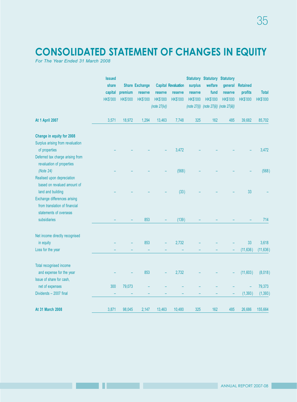# **CONSOLIDATED STATEMENT OF CHANGES IN EQUITY**

*For The Year Ended 31 March 2008*

|                                  | <b>Issued</b>   |                 | <b>Share Exchange</b> |                 | <b>Capital Revaluation</b> | surplus         | <b>Statutory Statutory Statutory</b><br>welfare | general         | <b>Retained</b> |                 |
|----------------------------------|-----------------|-----------------|-----------------------|-----------------|----------------------------|-----------------|-------------------------------------------------|-----------------|-----------------|-----------------|
|                                  | share           |                 |                       |                 |                            |                 |                                                 |                 |                 |                 |
|                                  | capital         | premium         | reserve               | reserve         | reserve                    | reserve         | fund                                            | reserve         | profits         | <b>Total</b>    |
|                                  | <b>HK\$'000</b> | <b>HK\$'000</b> | <b>HK\$'000</b>       | <b>HK\$'000</b> | <b>HK\$'000</b>            | <b>HK\$'000</b> | <b>HK\$'000</b>                                 | <b>HK\$'000</b> | <b>HK\$'000</b> | <b>HK\$'000</b> |
|                                  |                 |                 |                       | (note 27(iv))   |                            | (note 27(i))    | (note 27(ii)) (note 27(iii))                    |                 |                 |                 |
| <b>At 1 April 2007</b>           | 3,571           | 18,972          | 1,294                 | 13,463          | 7,748                      | 325             | 162                                             | 485             | 39,682          | 85,702          |
| Change in equity for 2008        |                 |                 |                       |                 |                            |                 |                                                 |                 |                 |                 |
| Surplus arising from revaluation |                 |                 |                       |                 |                            |                 |                                                 |                 |                 |                 |
| of properties                    |                 |                 |                       |                 | 3,472                      |                 |                                                 |                 |                 | 3,472           |
| Deferred tax charge arising from |                 |                 |                       |                 |                            |                 |                                                 |                 |                 |                 |
| revaluation of properties        |                 |                 |                       |                 |                            |                 |                                                 |                 |                 |                 |
| (Note 24)                        |                 |                 |                       |                 | (568)                      |                 |                                                 |                 |                 | (568)           |
| Realised upon depreciation       |                 |                 |                       |                 |                            |                 |                                                 |                 |                 |                 |
| based on revalued amount of      |                 |                 |                       |                 |                            |                 |                                                 |                 |                 |                 |
| land and building                |                 |                 |                       |                 | (33)                       |                 |                                                 |                 | 33              |                 |
| Exchange differences arising     |                 |                 |                       |                 |                            |                 |                                                 |                 |                 |                 |
| from translation of financial    |                 |                 |                       |                 |                            |                 |                                                 |                 |                 |                 |
| statements of overseas           |                 |                 |                       |                 |                            |                 |                                                 |                 |                 |                 |
| subsidiaries                     |                 |                 | 853                   |                 | (139)                      |                 |                                                 |                 |                 | 714             |
| Net income directly recognised   |                 |                 |                       |                 |                            |                 |                                                 |                 |                 |                 |
| in equity                        |                 |                 | 853                   |                 | 2,732                      |                 |                                                 |                 | 33              | 3,618           |
| Loss for the year                |                 |                 |                       |                 |                            |                 |                                                 |                 | (11, 636)       | (11, 636)       |
| Total recognised income          |                 |                 |                       |                 |                            |                 |                                                 |                 |                 |                 |
| and expense for the year         |                 |                 | 853                   |                 | 2,732                      |                 |                                                 |                 | (11,603)        | (8,018)         |
| Issue of share for cash,         |                 |                 |                       |                 |                            |                 |                                                 |                 |                 |                 |
| net of expenses                  | 300             | 79,073          |                       |                 |                            |                 |                                                 |                 |                 | 79,373          |
| Dividends - 2007 final           |                 |                 |                       |                 |                            |                 |                                                 |                 | (1, 393)        | (1, 393)        |
| At 31 March 2008                 | 3,871           | 98,045          | 2,147                 | 13,463          | 10,480                     | 325             | 162                                             | 485             | 26,686          | 155,664         |
|                                  |                 |                 |                       |                 |                            |                 |                                                 |                 |                 |                 |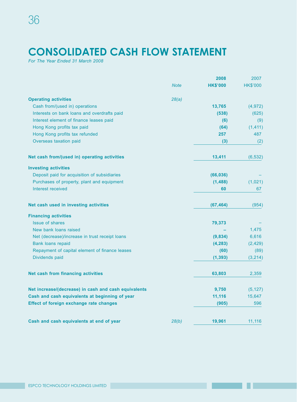# **CONSOLIDATED CASH FLOW STATEMENT**

*For The Year Ended 31 March 2008*

|                                                      |             | 2008            | 2007            |
|------------------------------------------------------|-------------|-----------------|-----------------|
|                                                      | <b>Note</b> | <b>HK\$'000</b> | <b>HK\$'000</b> |
| <b>Operating activities</b>                          | 28(a)       |                 |                 |
| Cash from/(used in) operations                       |             | 13,765          | (4, 972)        |
| Interests on bank loans and overdrafts paid          |             | (538)           | (625)           |
| Interest element of finance leases paid              |             | (6)             | (9)             |
| Hong Kong profits tax paid                           |             | (64)            | (1, 411)        |
| Hong Kong profits tax refunded                       |             | 257             | 487             |
| Overseas taxation paid                               |             | (3)             | (2)             |
| Net cash from/(used in) operating activities         |             | 13,411          | (6, 532)        |
| <b>Investing activities</b>                          |             |                 |                 |
| Deposit paid for acquisition of subsidiaries         |             | (66, 036)       |                 |
| Purchases of property, plant and equipment           |             | (1, 488)        | (1,021)         |
| Interest received                                    |             | 60              | 67              |
| Net cash used in investing activities                |             | (67, 464)       | (954)           |
| <b>Financing activities</b>                          |             |                 |                 |
| <b>Issue of shares</b>                               |             | 79,373          |                 |
| New bank loans raised                                |             |                 | 1,475           |
| Net (decrease)/increase in trust receipt loans       |             | (9,834)         | 6,616           |
| <b>Bank loans repaid</b>                             |             | (4, 283)        | (2, 429)        |
| Repayment of capital element of finance leases       |             | (60)            | (89)            |
| Dividends paid                                       |             | (1, 393)        | (3,214)         |
| Net cash from financing activities                   |             | 63,803          | 2,359           |
| Net increase/(decrease) in cash and cash equivalents |             | 9,750           | (5, 127)        |
| Cash and cash equivalents at beginning of year       |             | 11,116          | 15,647          |
| <b>Effect of foreign exchange rate changes</b>       |             | (905)           | 596             |
| Cash and cash equivalents at end of year             | 28(b)       | 19,961          | 11,116          |
|                                                      |             |                 |                 |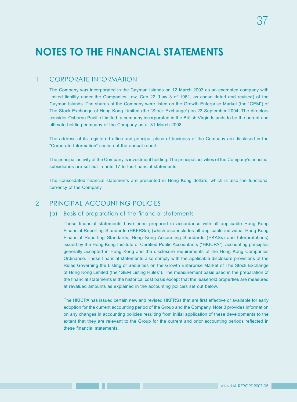### 1 CORPORATE INFORMATION

The Company was incorporated in the Cayman Islands on 12 March 2003 as an exempted company with limited liability under the Companies Law, Cap 22 (Law 3 of 1961, as consolidated and revised) of the Cayman Islands. The shares of the Company were listed on the Growth Enterprise Market (the "GEM") of The Stock Exchange of Hong Kong Limited (the "Stock Exchange") on 23 September 2004. The directors consider Osborne Pacific Limited, a company incorporated in the British Virgin Islands to be the parent and ultimate holding company of the Company as at 31 March 2008.

The address of its registered office and principal place of business of the Company are disclosed in the "Corporate Information" section of the annual report.

The principal activity of the Company is investment holding. The principal activities of the Company's principal subsidiaries are set out in note 17 to the financial statements.

The consolidated financial statements are presented in Hong Kong dollars, which is also the functional currency of the Company.

### 2 PRINCIPAL ACCOUNTING POLICIES

#### (a) Basis of preparation of the financial statements

These financial statements have been prepared in accordance with all applicable Hong Kong Financial Reporting Standards (HKFRSs), (which also includes all applicable individual Hong Kong Financial Reporting Standards, Hong Kong Accounting Standards (HKASs) and Interpretations) issued by the Hong Kong Institute of Certified Public Accountants ("HKICPA"), accounting principles generally accepted in Hong Kong and the disclosure requirements of the Hong Kong Companies Ordinance. These financial statements also comply with the applicable disclosure provisions of the Rules Governing the Listing of Securities on the Growth Enterprise Market of The Stock Exchange of Hong Kong Limited (the "GEM Listing Rules"). The measurement basis used in the preparation of the financial statements is the historical cost basis except that the leasehold properties are measured at revalued amounts as explained in the accounting policies set out below.

The HKICPA has issued certain new and revised HKFRSs that are first effective or available for early adoption for the current accounting period of the Group and the Company. Note 3 provides information on any changes in accounting policies resulting from initial application of these developments to the extent that they are relevant to the Group for the current and prior accounting periods reflected in these financial statements.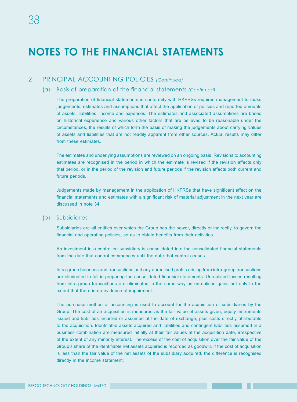### 2 PRINCIPAL ACCOUNTING POLICIES *(Continued)*

#### (a) Basis of preparation of the financial statements *(Continued)*

The preparation of financial statements in conformity with HKFRSs requires management to make judgements, estimates and assumptions that affect the application of policies and reported amounts of assets, liabilities, income and expenses. The estimates and associated assumptions are based on historical experience and various other factors that are believed to be reasonable under the circumstances, the results of which form the basis of making the judgements about carrying values of assets and liabilities that are not readily apparent from other sources. Actual results may differ from these estimates.

The estimates and underlying assumptions are reviewed on an ongoing basis. Revisions to accounting estimates are recognised in the period in which the estimate is revised if the revision affects only that period, or in the period of the revision and future periods if the revision affects both current and future periods.

Judgements made by management in the application of HKFRSs that have significant effect on the financial statements and estimates with a significant risk of material adjustment in the next year are discussed in note 34.

#### (b) Subsidiaries

Subsidiaries are all entities over which the Group has the power, directly or indirectly, to govern the financial and operating policies, so as to obtain benefits from their activities.

An investment in a controlled subsidiary is consolidated into the consolidated financial statements from the date that control commences until the date that control ceases.

Intra-group balances and transactions and any unrealised profits arising from intra-group transactions are eliminated in full in preparing the consolidated financial statements. Unrealised losses resulting from intra-group transactions are eliminated in the same way as unrealised gains but only to the extent that there is no evidence of impairment.

The purchase method of accounting is used to account for the acquisition of subsidiaries by the Group. The cost of an acquisition is measured as the fair value of assets given, equity instruments issued and liabilities incurred or assumed at the date of exchange, plus costs directly attributable to the acquisition. Identifiable assets acquired and liabilities and contingent liabilities assumed in a business combination are measured initially at their fair values at the acquisition date, irrespective of the extent of any minority interest. The excess of the cost of acquisition over the fair value of the Group's share of the identifiable net assets acquired is recorded as goodwill. If the cost of acquisition is less than the fair value of the net assets of the subsidiary acquired, the difference is recognised directly in the income statement.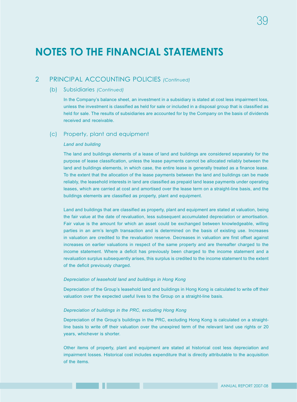#### 2 PRINCIPAL ACCOUNTING POLICIES *(Continued)*

#### (b) Subsidiaries *(Continued)*

In the Company's balance sheet, an investment in a subsidiary is stated at cost less impairment loss, unless the investment is classified as held for sale or included in a disposal group that is classified as held for sale. The results of subsidiaries are accounted for by the Company on the basis of dividends received and receivable.

#### (c) Property, plant and equipment

#### *Land and building*

The land and buildings elements of a lease of land and buildings are considered separately for the purpose of lease classification, unless the lease payments cannot be allocated reliably between the land and buildings elements, in which case, the entire lease is generally treated as a finance lease. To the extent that the allocation of the lease payments between the land and buildings can be made reliably, the leasehold interests in land are classified as prepaid land lease payments under operating leases, which are carried at cost and amortised over the lease term on a straight-line basis, and the buildings elements are classified as property, plant and equipment.

Land and buildings that are classified as property, plant and equipment are stated at valuation, being the fair value at the date of revaluation, less subsequent accumulated depreciation or amortisation. Fair value is the amount for which an asset could be exchanged between knowledgeable, willing parties in an arm's length transaction and is determined on the basis of existing use. Increases in valuation are credited to the revaluation reserve. Decreases in valuation are first offset against increases on earlier valuations in respect of the same property and are thereafter charged to the income statement. Where a deficit has previously been charged to the income statement and a revaluation surplus subsequently arises, this surplus is credited to the income statement to the extent of the deficit previously charged.

#### *Depreciation of leasehold land and buildings in Hong Kong*

Depreciation of the Group's leasehold land and buildings in Hong Kong is calculated to write off their valuation over the expected useful lives to the Group on a straight-line basis.

#### *Depreciation of buildings in the PRC, excluding Hong Kong*

Depreciation of the Group's buildings in the PRC, excluding Hong Kong is calculated on a straightline basis to write off their valuation over the unexpired term of the relevant land use rights or 20 years, whichever is shorter.

Other items of property, plant and equipment are stated at historical cost less depreciation and impairment losses. Historical cost includes expenditure that is directly attributable to the acquisition of the items.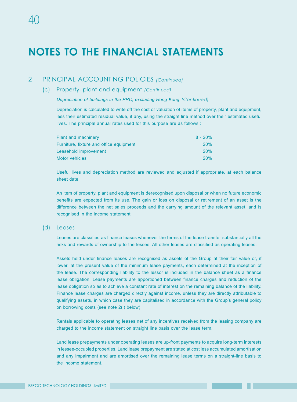#### 2 PRINCIPAL ACCOUNTING POLICIES *(Continued)*

#### (c) Property, plant and equipment *(Continued)*

 *Depreciation of buildings in the PRC, excluding Hong Kong (Continued)*

Depreciation is calculated to write off the cost or valuation of items of property, plant and equipment, less their estimated residual value, if any, using the straight line method over their estimated useful lives. The principal annual rates used for this purpose are as follows :

| $8 - 20\%$ |
|------------|
| 20%        |
| 20%        |
| 20%        |
|            |

Useful lives and depreciation method are reviewed and adjusted if appropriate, at each balance sheet date.

An item of property, plant and equipment is derecognised upon disposal or when no future economic benefits are expected from its use. The gain or loss on disposal or retirement of an asset is the difference between the net sales proceeds and the carrying amount of the relevant asset, and is recognised in the income statement.

#### (d) Leases

Leases are classified as finance leases whenever the terms of the lease transfer substantially all the risks and rewards of ownership to the lessee. All other leases are classified as operating leases.

Assets held under finance leases are recognised as assets of the Group at their fair value or, if lower, at the present value of the minimum lease payments, each determined at the inception of the lease. The corresponding liability to the lessor is included in the balance sheet as a finance lease obligation. Lease payments are apportioned between finance charges and reduction of the lease obligation so as to achieve a constant rate of interest on the remaining balance of the liability. Finance lease charges are charged directly against income, unless they are directly attributable to qualifying assets, in which case they are capitalised in accordance with the Group's general policy on borrowing costs (see note 2(l) below)

Rentals applicable to operating leases net of any incentives received from the leasing company are charged to the income statement on straight line basis over the lease term.

Land lease prepayments under operating leases are up-front payments to acquire long-term interests in lessee-occupied properties. Land lease prepayment are stated at cost less accumulated amortisation and any impairment and are amortised over the remaining lease terms on a straight-line basis to the income statement.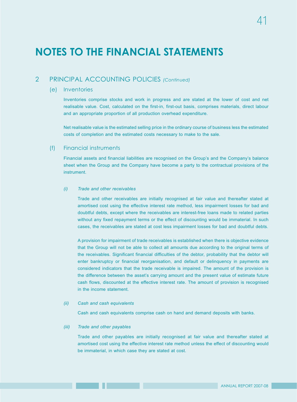### 2 PRINCIPAL ACCOUNTING POLICIES *(Continued)*

#### (e) Inventories

Inventories comprise stocks and work in progress and are stated at the lower of cost and net realisable value. Cost, calculated on the first-in, first-out basis, comprises materials, direct labour and an appropriate proportion of all production overhead expenditure.

Net realisable value is the estimated selling price in the ordinary course of business less the estimated costs of completion and the estimated costs necessary to make to the sale.

#### (f) Financial instruments

Financial assets and financial liabilities are recognised on the Group's and the Company's balance sheet when the Group and the Company have become a party to the contractual provisions of the instrument.

#### *(i) Trade and other receivables*

Trade and other receivables are initially recognised at fair value and thereafter stated at amortised cost using the effective interest rate method, less impairment losses for bad and doubtful debts, except where the receivables are interest-free loans made to related parties without any fixed repayment terms or the effect of discounting would be immaterial. In such cases, the receivables are stated at cost less impairment losses for bad and doubtful debts.

A provision for impairment of trade receivables is established when there is objective evidence that the Group will not be able to collect all amounts due according to the original terms of the receivables. Significant financial difficulties of the debtor, probability that the debtor will enter bankruptcy or financial reorganisation, and default or delinquency in payments are considered indicators that the trade receivable is impaired. The amount of the provision is the difference between the asset's carrying amount and the present value of estimate future cash flows, discounted at the effective interest rate. The amount of provision is recognised in the income statement.

#### *(ii) Cash and cash equivalents*

Cash and cash equivalents comprise cash on hand and demand deposits with banks.

#### *(iii) Trade and other payables*

Trade and other payables are initially recognised at fair value and thereafter stated at amortised cost using the effective interest rate method unless the effect of discounting would be immaterial, in which case they are stated at cost.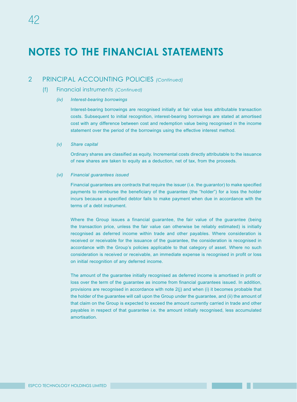### 2 PRINCIPAL ACCOUNTING POLICIES *(Continued)*

- (f) Financial instruments *(Continued)*
	- *(iv) Interest-bearing borrowings*

Interest-bearing borrowings are recognised initially at fair value less attributable transaction costs. Subsequent to initial recognition, interest-bearing borrowings are stated at amortised cost with any difference between cost and redemption value being recognised in the income statement over the period of the borrowings using the effective interest method.

*(v) Share capital*

Ordinary shares are classified as equity. Incremental costs directly attributable to the issuance of new shares are taken to equity as a deduction, net of tax, from the proceeds.

*(vi) Financial guarantees issued*

Financial guarantees are contracts that require the issuer (i.e. the guarantor) to make specified payments to reimburse the beneficiary of the guarantee (the "holder") for a loss the holder incurs because a specified debtor fails to make payment when due in accordance with the terms of a debt instrument.

Where the Group issues a financial guarantee, the fair value of the guarantee (being the transaction price, unless the fair value can otherwise be reliably estimated) is initially recognised as deferred income within trade and other payables. Where consideration is received or receivable for the issuance of the guarantee, the consideration is recognised in accordance with the Group's policies applicable to that category of asset. Where no such consideration is received or receivable, an immediate expense is recognised in profit or loss on initial recognition of any deferred income.

The amount of the guarantee initially recognised as deferred income is amortised in profit or loss over the term of the guarantee as income from financial guarantees issued. In addition, provisions are recognised in accordance with note 2(j) and when (i) it becomes probable that the holder of the guarantee will call upon the Group under the guarantee, and (ii) the amount of that claim on the Group is expected to exceed the amount currently carried in trade and other payables in respect of that guarantee i.e. the amount initially recognised, less accumulated amortisation.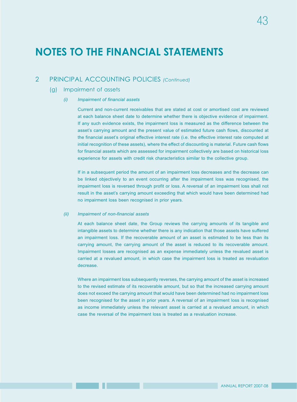### 2 PRINCIPAL ACCOUNTING POLICIES *(Continued)*

#### (g) Impairment of assets

#### *(i) Impairment of financial assets*

Current and non-current receivables that are stated at cost or amortised cost are reviewed at each balance sheet date to determine whether there is objective evidence of impairment. If any such evidence exists, the impairment loss is measured as the difference between the asset's carrying amount and the present value of estimated future cash flows, discounted at the financial asset's original effective interest rate (i.e. the effective interest rate computed at initial recognition of these assets), where the effect of discounting is material. Future cash flows for financial assets which are assessed for impairment collectively are based on historical loss experience for assets with credit risk characteristics similar to the collective group.

If in a subsequent period the amount of an impairment loss decreases and the decrease can be linked objectively to an event occurring after the impairment loss was recognised, the impairment loss is reversed through profit or loss. A reversal of an impairment loss shall not result in the asset's carrying amount exceeding that which would have been determined had no impairment loss been recognised in prior years.

#### *(ii) Impairment of non-financial assets*

At each balance sheet date, the Group reviews the carrying amounts of its tangible and intangible assets to determine whether there is any indication that those assets have suffered an impairment loss. If the recoverable amount of an asset is estimated to be less than its carrying amount, the carrying amount of the asset is reduced to its recoverable amount. Impairment losses are recognised as an expense immediately unless the revalued asset is carried at a revalued amount, in which case the impairment loss is treated as revaluation decrease.

Where an impairment loss subsequently reverses, the carrying amount of the asset is increased to the revised estimate of its recoverable amount, but so that the increased carrying amount does not exceed the carrying amount that would have been determined had no impairment loss been recognised for the asset in prior years. A reversal of an impairment loss is recognised as income immediately unless the relevant asset is carried at a revalued amount, in which case the reversal of the impairment loss is treated as a revaluation increase.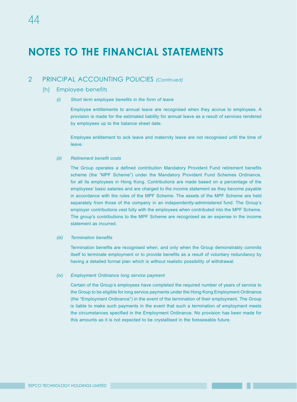### 2 PRINCIPAL ACCOUNTING POLICIES *(Continued)*

#### (h) Employee benefits

*(i) Short term employee benefits in the form of leave*

Employee entitlements to annual leave are recognised when they accrue to employees. A provision is made for the estimated liability for annual leave as a result of services rendered by employees up to the balance sheet date.

Employee entitlement to sick leave and maternity leave are not recognised until the time of leave.

#### *(ii) Retirement benefit costs*

The Group operates a defined contribution Mandatory Provident Fund retirement benefits scheme (the "MPF Scheme") under the Mandatory Provident Fund Schemes Ordinance, for all its employees in Hong Kong. Contributions are made based on a percentage of the employees' basic salaries and are charged to the income statement as they become payable in accordance with the rules of the MPF Scheme. The assets of the MPF Scheme are held separately from those of the company in an independently-administered fund. The Group's employer contributions vest fully with the employees when contributed into the MPF Scheme. The group's contributions to the MPF Scheme are recognised as an expense in the income statement as incurred.

#### *(iii) Termination benefits*

Termination benefits are recognised when, and only when the Group demonstrably commits itself to terminate employment or to provide benefits as a result of voluntary redundancy by having a detailed formal plan which is without realistic possibility of withdrawal.

#### *(iv) Employment Ordinance long service payment*

Certain of the Group's employees have completed the required number of years of service to the Group to be eligible for long service payments under the Hong Kong Employment Ordinance (the "Employment Ordinance") in the event of the termination of their employment. The Group is liable to make such payments in the event that such a termination of employment meets the circumstances specified in the Employment Ordinance. No provision has been made for this amounts as it is not expected to be crystallised in the foreseeable future.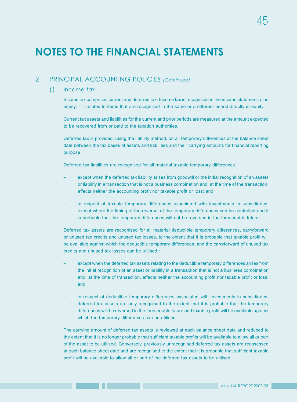## 2 PRINCIPAL ACCOUNTING POLICIES *(Continued)*

#### (i) Income tax

Income tax comprises current and deferred tax. Income tax is recognised in the income statement, or in equity, if it relates to items that are recognised in the same or a different period directly in equity.

Current tax assets and liabilities for the current and prior periods are measured at the amount expected to be recovered from or paid to the taxation authorities.

Deferred tax is provided, using the liability method, on all temporary differences at the balance sheet date between the tax bases of assets and liabilities and their carrying amounts for financial reporting purpose.

Deferred tax liabilities are recognised for all material taxable temporary differences :

- except when the deferred tax liability arises from goodwill or the initial recognition of an assets or liability in a transaction that is not a business combination and, at the time of the transaction, affects neither the accounting profit nor taxable profit or loss; and
- in respect of taxable temporary differences associated with investments in subsidiaries, except where the timing of the reversal of the temporary differences can be controlled and it is probable that the temporary differences will not be reversed in the foreseeable future.

Deferred tax assets are recognised for all material deductible temporary differences, carryforward or unused tax credits and unused tax losses, to the extent that it is probable that taxable profit will be available against which the deductible temporary differences, and the carryforward of unused tax credits and unused tax losses can be utilised :

- except when the deferred tax assets relating to the deductible temporary differences arises from the initial recognition of an asset or liability in a transaction that is not a business combination and, at the time of transaction, affects neither the accounting profit nor taxable profit or loss; and
- in respect of deductible temporary differences associated with investments in subsidiaries, deferred tax assets are only recognised to the extent that it is probable that the temporary differences will be reversed in the foreseeable future and taxable profit will be available against which the temporary differences can be utilised.

The carrying amount of deferred tax assets is reviewed at each balance sheet date and reduced to the extent that it is no longer probable that sufficient taxable profits will be available to allow all or part of the asset to be utilised. Conversely, previously unrecognised deferred tax assets are reassessed at each balance sheet date and are recognised to the extent that it is probable that sufficient taxable profit will be available to allow all or part of the deferred tax assets to be utilised.

45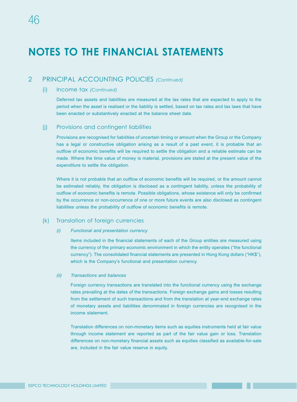### 2 PRINCIPAL ACCOUNTING POLICIES *(Continued)*

#### (i) Income tax *(Continued)*

Deferred tax assets and liabilities are measured at the tax rates that are expected to apply to the period when the asset is realised or the liability is settled, based on tax rates and tax laws that have been enacted or substantively enacted at the balance sheet date.

#### (j) Provisions and contingent liabilities

Provisions are recognised for liabilities of uncertain timing or amount when the Group or the Company has a legal or constructive obligation arising as a result of a past event, it is probable that an outflow of economic benefits will be required to settle the obligation and a reliable estimate can be made. Where the time value of money is material, provisions are stated at the present value of the expenditure to settle the obligation.

Where it is not probable that an outflow of economic benefits will be required, or the amount cannot be estimated reliably, the obligation is disclosed as a contingent liability, unless the probability of outflow of economic benefits is remote. Possible obligations, whose existence will only be confirmed by the occurrence or non-occurrence of one or more future events are also disclosed as contingent liabilities unless the probability of outflow of economic benefits is remote.

#### (k) Translation of foreign currencies

#### *(i) Functional and presentation currency*

Items included in the financial statements of each of the Group entities are measured using the currency of the primary economic environment in which the entity operates ("the functional currency"). The consolidated financial statements are presented in Hong Kong dollars ("HK\$"), which is the Company's functional and presentation currency.

#### *(ii) Transactions and balances*

Foreign currency transactions are translated into the functional currency using the exchange rates prevailing at the dates of the transactions. Foreign exchange gains and losses resulting from the settlement of such transactions and from the translation at year-end exchange rates of monetary assets and liabilities denominated in foreign currencies are recognised in the income statement.

Translation differences on non-monetary items such as equities instruments held at fair value through income statement are reported as part of the fair value gain or loss. Translation differences on non-monetary financial assets such as equities classified as available-for-sale are, included in the fair value reserve in equity.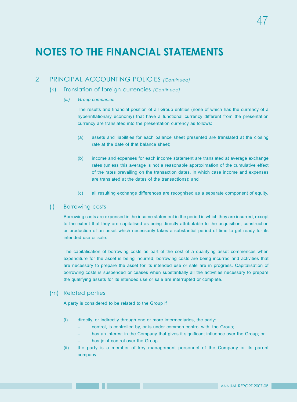### 2 PRINCIPAL ACCOUNTING POLICIES *(Continued)*

- (k) Translation of foreign currencies *(Continued)*
	- *(iii) Group companies*

The results and financial position of all Group entities (none of which has the currency of a hyperinflationary economy) that have a functional currency different from the presentation currency are translated into the presentation currency as follows:

- (a) assets and liabilities for each balance sheet presented are translated at the closing rate at the date of that balance sheet;
- (b) income and expenses for each income statement are translated at average exchange rates (unless this average is not a reasonable approximation of the cumulative effect of the rates prevailing on the transaction dates, in which case income and expenses are translated at the dates of the transactions); and
- (c) all resulting exchange differences are recognised as a separate component of equity.

#### (l) Borrowing costs

Borrowing costs are expensed in the income statement in the period in which they are incurred, except to the extent that they are capitalised as being directly attributable to the acquisition, construction or production of an asset which necessarily takes a substantial period of time to get ready for its intended use or sale.

The capitalisation of borrowing costs as part of the cost of a qualifying asset commences when expenditure for the asset is being incurred, borrowing costs are being incurred and activities that are necessary to prepare the asset for its intended use or sale are in progress. Capitalisation of borrowing costs is suspended or ceases when substantially all the activities necessary to prepare the qualifying assets for its intended use or sale are interrupted or complete.

#### (m) Related parties

A party is considered to be related to the Group if :

- (i) directly, or indirectly through one or more intermediaries, the party:
	- control, is controlled by, or is under common control with, the Group;
	- has an interest in the Company that gives it significant influence over the Group; or
	- has joint control over the Group
- (ii) the party is a member of key management personnel of the Company or its parent company;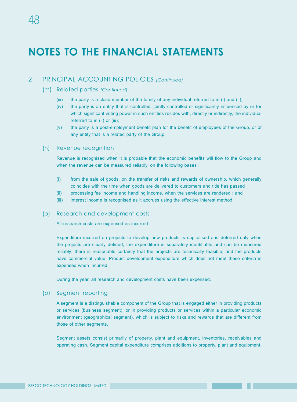### 2 PRINCIPAL ACCOUNTING POLICIES *(Continued)*

#### (m) Related parties *(Continued)*

- (iii) the party is a close member of the family of any individual referred to in (i) and (ii);
- (iv) the party is an entity that is controlled, jointly controlled or significantly influenced by or for which significant voting power in such entities resides with, directly or indirectly, the individual referred to in (ii) or (iii);
- (v) the party is a post-employment benefit plan for the benefit of employees of the Group, or of any entity that is a related party of the Group.

#### (n) Revenue recognition

Revenue is recognised when it is probable that the economic benefits will flow to the Group and when the revenue can be measured reliably, on the following bases :

- (i) from the sale of goods, on the transfer of risks and rewards of ownership, which generally coincides with the time when goods are delivered to customers and title has passed ;
- (ii) processing fee income and handling income, when the services are rendered ; and
- (iii) interest income is recognised as it accrues using the effective interest method.

#### (o) Research and development costs

All research costs are expensed as incurred.

Expenditure incurred on projects to develop new products is capitalised and deferred only when the projects are clearly defined; the expenditure is separately identifiable and can be measured reliably; there is reasonable certainty that the projects are technically feasible; and the products have commercial value. Product development expenditure which does not meet these criteria is expensed when incurred.

During the year, all research and development costs have been expensed.

#### (p) Segment reporting

A segment is a distinguishable component of the Group that is engaged either in providing products or services (business segment), or in providing products or services within a particular economic environment (geographical segment), which is subject to risks and rewards that are different from those of other segments.

Segment assets consist primarily of property, plant and equipment, inventories, receivables and operating cash. Segment capital expenditure comprises additions to property, plant and equipment.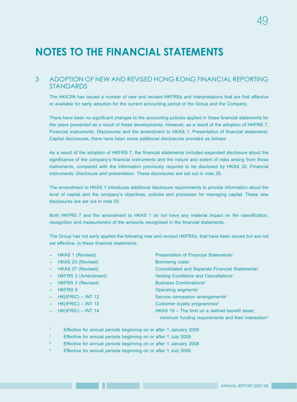#### 3 ADOPTION OF NEW AND REVISED HONG KONG FINANCIAL REPORTING STANDARDS

The HKICPA has issued a number of new and revised HKFRSs and Interpretations that are first effective or available for early adoption for the current accounting period of the Group and the Company.

There have been no significant changes to the accounting policies applied in these financial statements for the years presented as a result of these developments. However, as a result of the adoption of HKFRS 7, Financial instruments: Disclosures and the amendment to HKAS 1, Presentation of financial statements: Capital disclosures, there have been some additional disclosures provided as follows:

As a result of the adoption of HKFRS 7, the financial statements included expanded disclosure about the significance of the company's financial instruments and the nature and extent of risks arising from those instruments, compared with the information previously required to be disclosed by HKAS 32, Financial instruments: Disclosure and presentation. These disclosures are set out in note 29.

The amendment to HKAS 1 introduces additional disclosure requirements to provide information about the level of capital and the company's objectives, policies and processes for managing capital. These new disclosures are set out in note 25.

Both HKFRS 7 and the amendment to HKAS 1 do not have any material impact on the classification, recognition and measurement of the amounts recognised in the financial statements.

The Group has not early applied the following new and revised HKFRSs, that have been issued but are not yet effective, in these financial statements.

| ÷,       | HKAS 1 (Revised)           | Presentation of Financial Statements <sup>1</sup>               |
|----------|----------------------------|-----------------------------------------------------------------|
| ÷,       | HKAS 23 (Revised)          | Borrowing costs <sup>1</sup>                                    |
| ÷,       | HKAS 27 (Revised)          | Consolidated and Separate Financial Statements <sup>2</sup>     |
| ÷,       | <b>HKFRS 2 (Amendment)</b> | Vesting Conditions and Cancellations <sup>1</sup>               |
| ÷,       | <b>HKFRS 3 (Revised)</b>   | <b>Business Combinations<sup>2</sup></b>                        |
|          | <b>HKFRS 8</b>             | Operating segments <sup>1</sup>                                 |
| $\equiv$ | $HK(IFRIC) - INT 12$       | Service concession arrangements <sup>3</sup>                    |
| ÷,       | $HK(IFRIC) - INT 13$       | Customer loyalty programmes <sup>4</sup>                        |
| $\equiv$ | $HK(IFRIC) - INT 14$       | HKAS 19 - The limit on a defined benefit asset,                 |
|          |                            | minimum funding requirements and their interaction <sup>3</sup> |
|          |                            |                                                                 |

<sup>1</sup> Effective for annual periods beginning on or after 1 January 2009

<sup>2</sup> Effective for annual periods beginning on or after 1 July 2009

<sup>3</sup> Effective for annual periods beginning on or after 1 January 2008

<sup>4</sup> Effective for annual periods beginning on or after 1 July 2008

49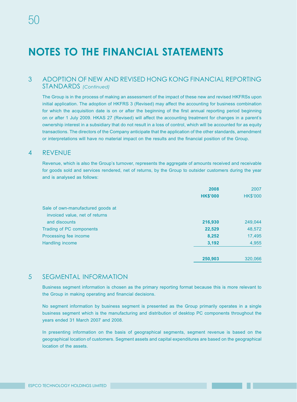### 3 ADOPTION OF NEW AND REVISED HONG KONG FINANCIAL REPORTING STANDARDS *(Continued)*

The Group is in the process of making an assessment of the impact of these new and revised HKFRSs upon initial application. The adoption of HKFRS 3 (Revised) may affect the accounting for business combination for which the acquisition date is on or after the beginning of the first annual reporting period beginning on or after 1 July 2009. HKAS 27 (Revised) will affect the accounting treatment for changes in a parent's ownership interest in a subsidiary that do not result in a loss of control, which will be accounted for as equity transactions. The directors of the Company anticipate that the application of the other standards, amendment or interpretations will have no material impact on the results and the financial position of the Group.

#### 4 REVENUE

Revenue, which is also the Group's turnover, represents the aggregate of amounts received and receivable for goods sold and services rendered, net of returns, by the Group to outsider customers during the year and is analysed as follows:

|                                   | 2008            | 2007            |
|-----------------------------------|-----------------|-----------------|
|                                   | <b>HK\$'000</b> | <b>HK\$'000</b> |
| Sale of own-manufactured goods at |                 |                 |
| invoiced value, net of returns    |                 |                 |
| and discounts                     | 216,930         | 249,044         |
| Trading of PC components          | 22,529          | 48,572          |
| Processing fee income             | 8,252           | 17,495          |
| Handling income                   | 3,192           | 4,955           |
|                                   | 250,903         | 320,066         |

#### 5 SEGMENTAL INFORMATION

Business segment information is chosen as the primary reporting format because this is more relevant to the Group in making operating and financial decisions.

No segment information by business segment is presented as the Group primarily operates in a single business segment which is the manufacturing and distribution of desktop PC components throughout the years ended 31 March 2007 and 2008.

In presenting information on the basis of geographical segments, segment revenue is based on the geographical location of customers. Segment assets and capital expenditures are based on the geographical location of the assets.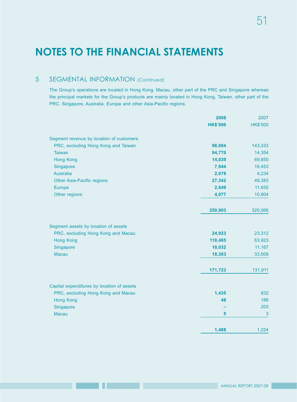### 5 SEGMENTAL INFORMATION *(Continued)*

The Group's operations are located in Hong Kong, Macau, other part of the PRC and Singapore whereas the principal markets for the Group's products are mainly located in Hong Kong, Taiwan, other part of the PRC, Singapore, Australia, Europe and other Asia-Pacific regions.

|                                            | 2008            | 2007            |
|--------------------------------------------|-----------------|-----------------|
|                                            | <b>HK\$'000</b> | <b>HK\$'000</b> |
| Segment revenue by location of customers   |                 |                 |
| PRC, excluding Hong Kong and Taiwan        | 98,004          | 143,333         |
| <b>Taiwan</b>                              | 94,770          | 14,354          |
| <b>Hong Kong</b>                           | 14,039          | 69,850          |
| Singapore                                  | 7,944           | 16,453          |
| <b>Australia</b>                           | 2,078           | 4,234           |
| <b>Other Asia-Pacific regions</b>          | 27,342          | 49,383          |
| Europe                                     | 2,649           | 11,655          |
| Other regions                              | 4,077           | 10,804          |
|                                            | 250,903         | 320,066         |
| Segment assets by location of assets       |                 |                 |
| PRC, excluding Hong Kong and Macau         | 24,923          | 23,312          |
| <b>Hong Kong</b>                           | 118,465         | 63,923          |
| Singapore                                  | 10,032          | 11,167          |
| <b>Macau</b>                               | 18,303          | 33,509          |
|                                            | 171,723         | 131,911         |
|                                            |                 |                 |
| Capital expenditures by location of assets |                 |                 |
| PRC, excluding Hong Kong and Macau         | 1,435           | 832             |
| <b>Hong Kong</b>                           | 48              | 186             |
| Singapore                                  |                 | 203             |
| Macau                                      | 5               | 3               |
|                                            | 1,488           | 1,224           |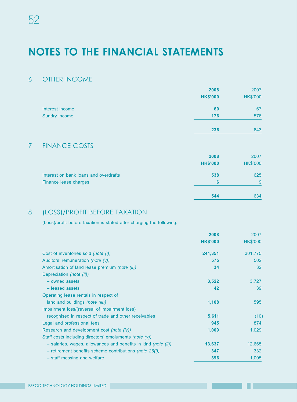### 6 OTHER INCOME

|                 | 2008            | 2007            |
|-----------------|-----------------|-----------------|
|                 | <b>HK\$'000</b> | <b>HK\$'000</b> |
| Interest income | 60              | 67              |
| Sundry income   | 176             | 576             |
|                 | 236             | 643             |

### 7 FINANCE COSTS

|                                       | 2008            | 2007            |
|---------------------------------------|-----------------|-----------------|
|                                       | <b>HK\$'000</b> | <b>HK\$'000</b> |
| Interest on bank loans and overdrafts | 538             | 625             |
| Finance lease charges                 | 6               | 9               |
|                                       | 544             | 634             |

## 8 (LOSS)/PROFIT BEFORE TAXATION

(Loss)/profit before taxation is stated after charging the following:

|                                                                         | 2008            | 2007            |
|-------------------------------------------------------------------------|-----------------|-----------------|
|                                                                         | <b>HK\$'000</b> | <b>HK\$'000</b> |
| Cost of inventories sold (note (i))                                     | 241,351         | 301,775         |
| Auditors' remuneration (note (v))                                       | 575             | 502             |
| Amortisation of land lease premium (note (ii))                          | 34              | 32              |
| Depreciation (note (ii))                                                |                 |                 |
| - owned assets                                                          | 3,522           | 3,727           |
| - leased assets                                                         | 42              | 39              |
| Operating lease rentals in respect of                                   |                 |                 |
| land and buildings (note (iii))                                         | 1,108           | 595             |
| Impairment loss/(reversal of impairment loss)                           |                 |                 |
| recognised in respect of trade and other receivables                    | 5,611           | (10)            |
| Legal and professional fees                                             | 945             | 874             |
| Research and development cost (note (iv))                               | 1,009           | 1,029           |
| Staff costs including directors' emoluments (note (v))                  |                 |                 |
| $-$ salaries, wages, allowances and benefits in kind <i>(note (ii))</i> | 13,637          | 12,665          |
| - retirement benefits scheme contributions (note $26(i)$ )              | 347             | 332             |
| - staff messing and welfare                                             | 396             | 1,005           |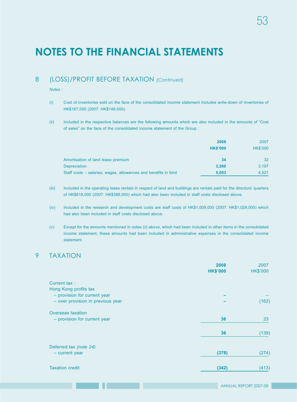### 8 (LOSS)/PROFIT BEFORE TAXATION *(Continued)*

*Notes :*

- (i) Cost of inventories sold on the face of the consolidated income statement includes write-down of inventories of HK\$167,000 (2007: HK\$148,000).
- (ii) Included in the respective balances are the following amounts which are also included in the amounts of "Cost of sales" on the face of the consolidated income statement of the Group :

|                                                                | 2008            | 2007            |
|----------------------------------------------------------------|-----------------|-----------------|
|                                                                | <b>HK\$'000</b> | <b>HK\$'000</b> |
| Amortisation of land lease premium                             | 34              | 32              |
| <b>Depreciation</b>                                            | 3,260           | 3.197           |
| Staff costs – salaries, wages, allowances and benefits in kind | 5.053           | 4,521           |

- (iii) Included in the operating lease rentals in respect of land and buildings are rentals paid for the directors' quarters of HK\$818,000 (2007: HK\$388,000) which had also been included in staff costs disclosed above.
- (iv) Included in the research and development costs are staff costs of HK\$1,009,000 (2007: HK\$1,029,000) which had also been included in staff costs disclosed above.
- (v) Except for the amounts mentioned in notes (ii) above, which had been included in other items in the consolidated income statement, these amounts had been included in administrative expenses in the consolidated income statement.

### 9 TAXATION

| <b>HK\$'000</b> | 2007<br><b>HK\$'000</b> |
|-----------------|-------------------------|
|                 |                         |
|                 |                         |
|                 |                         |
|                 | (162)                   |
|                 |                         |
| 36              | 23                      |
| 36              | (139)                   |
|                 |                         |
| (378)           | (274)                   |
| (342)           | (413)                   |
|                 | 2008                    |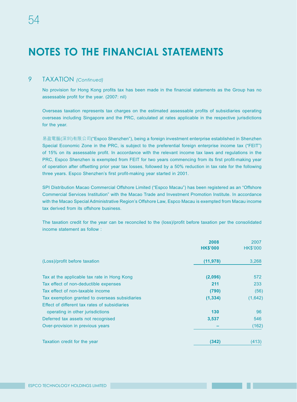### 9 TAXATION *(Continued)*

No provision for Hong Kong profits tax has been made in the financial statements as the Group has no assessable profit for the year. (2007: nil)

Overseas taxation represents tax charges on the estimated assessable profits of subsidiaries operating overseas including Singapore and the PRC, calculated at rates applicable in the respective jurisdictions for the year.

易盈電腦(深圳)有限公司("Espco Shenzhen"), being a foreign investment enterprise established in Shenzhen Special Economic Zone in the PRC, is subject to the preferential foreign enterprise income tax ("FEIT") of 15% on its assessable profit. In accordance with the relevant income tax laws and regulations in the PRC, Espco Shenzhen is exempted from FEIT for two years commencing from its first profit-making year of operation after offsetting prior year tax losses, followed by a 50% reduction in tax rate for the following three years. Espco Shenzhen's first profit-making year started in 2001.

SPI Distribution Macao Commercial Offshore Limited ("Espco Macau") has been registered as an "Offshore Commercial Services Institution" with the Macao Trade and Investment Promotion Institute. In accordance with the Macao Special Administrative Region's Offshore Law, Espco Macau is exempted from Macau income tax derived from its offshore business.

The taxation credit for the year can be reconciled to the (loss)/profit before taxation per the consolidated income statement as follow :

|                                                | 2008<br><b>HK\$'000</b> | 2007<br><b>HK\$'000</b> |
|------------------------------------------------|-------------------------|-------------------------|
| (Loss)/profit before taxation                  | (11, 978)               | 3,268                   |
| Tax at the applicable tax rate in Hong Kong    | (2,096)                 | 572                     |
| Tax effect of non-deductible expenses          | 211                     | 233                     |
| Tax effect of non-taxable income               | (790)                   | (56)                    |
| Tax exemption granted to overseas subsidiaries | (1, 334)                | (1,642)                 |
| Effect of different tax rates of subsidiaries  |                         |                         |
| operating in other jurisdictions               | 130                     | 96                      |
| Deferred tax assets not recognised             | 3,537                   | 546                     |
| Over-provision in previous years               |                         | (162)                   |
| Taxation credit for the year                   | (342)                   | (413)                   |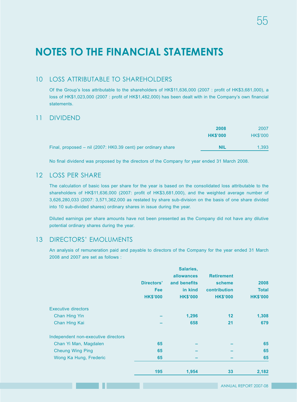### 10 LOSS ATTRIBUTABLE TO SHAREHOLDERS

Of the Group's loss attributable to the shareholders of HK\$11,636,000 (2007 : profit of HK\$3,681,000), a loss of HK\$1,023,000 (2007 : profit of HK\$1,482,000) has been dealt with in the Company's own financial statements.

### 11 DIVIDEND

|                                                              | 2008            | 2007            |
|--------------------------------------------------------------|-----------------|-----------------|
|                                                              | <b>HK\$'000</b> | <b>HK\$'000</b> |
| Final, proposed – nil (2007: HK0.39 cent) per ordinary share | <b>NIL</b>      | 1.393           |

No final dividend was proposed by the directors of the Company for year ended 31 March 2008.

### 12 LOSS PFR SHARE

The calculation of basic loss per share for the year is based on the consolidated loss attributable to the shareholders of HK\$11,636,000 (2007: profit of HK\$3,681,000), and the weighted average number of 3,626,280,033 (2007: 3,571,362,000 as restated by share sub-division on the basis of one share divided into 10 sub-divided shares) ordinary shares in issue during the year.

Diluted earnings per share amounts have not been presented as the Company did not have any dilutive potential ordinary shares during the year.

### 13 DIRECTORS' EMOLUMENTS

An analysis of remuneration paid and payable to directors of the Company for the year ended 31 March 2008 and 2007 are set as follows :

|                                     | Directors'<br><b>Fee</b> | Salaries,<br>allowances<br>and benefits<br>in kind | <b>Retirement</b><br>scheme<br>contribution | 2008<br><b>Total</b> |
|-------------------------------------|--------------------------|----------------------------------------------------|---------------------------------------------|----------------------|
|                                     | <b>HK\$'000</b>          | <b>HK\$'000</b>                                    | <b>HK\$'000</b>                             | <b>HK\$'000</b>      |
| Executive directors                 |                          |                                                    |                                             |                      |
| Chan Hing Yin                       |                          | 1,296                                              | 12                                          | 1,308                |
| Chan Hing Kai                       |                          | 658                                                | 21                                          | 679                  |
| Independent non-executive directors |                          |                                                    |                                             |                      |
| Chan Yi Man, Magdalen               | 65                       |                                                    |                                             | 65                   |
| <b>Cheung Wing Ping</b>             | 65                       |                                                    |                                             | 65                   |
| Wong Ka Hung, Frederic              | 65                       |                                                    |                                             | 65                   |
|                                     | 195                      | 1,954                                              | 33                                          | 2,182                |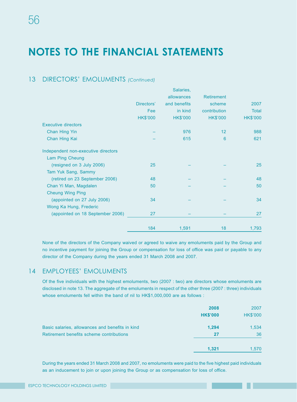## 13 DIRECTORS' EMOLUMENTS *(Continued)*

|                                     |                 | Salaries,       |                   |                 |
|-------------------------------------|-----------------|-----------------|-------------------|-----------------|
|                                     |                 | allowances      | <b>Retirement</b> |                 |
|                                     | Directors'      | and benefits    | scheme            | 2007            |
|                                     | Fee             | in kind         | contribution      | <b>Total</b>    |
|                                     | <b>HK\$'000</b> | <b>HK\$'000</b> | <b>HK\$'000</b>   | <b>HK\$'000</b> |
| <b>Executive directors</b>          |                 |                 |                   |                 |
| <b>Chan Hing Yin</b>                |                 | 976             | 12                | 988             |
| Chan Hing Kai                       |                 | 615             | 6                 | 621             |
| Independent non-executive directors |                 |                 |                   |                 |
| Lam Ping Cheung                     |                 |                 |                   |                 |
| (resigned on 3 July 2006)           | 25              |                 |                   | 25              |
| Tam Yuk Sang, Sammy                 |                 |                 |                   |                 |
| (retired on 23 September 2006)      | 48              |                 |                   | 48              |
| Chan Yi Man, Magdalen               | 50              |                 |                   | 50              |
| <b>Cheung Wing Ping</b>             |                 |                 |                   |                 |
| (appointed on 27 July 2006)         | 34              |                 |                   | 34              |
| Wong Ka Hung, Frederic              |                 |                 |                   |                 |
| (appointed on 18 September 2006)    | 27              |                 |                   | 27              |
|                                     | 184             | 1,591           | 18                | 1,793           |

None of the directors of the Company waived or agreed to waive any emoluments paid by the Group and no incentive payment for joining the Group or compensation for loss of office was paid or payable to any director of the Company during the years ended 31 March 2008 and 2007.

### 14 EMPLOYEES' EMOLUMENTS

Of the five individuals with the highest emoluments, two (2007 : two) are directors whose emoluments are disclosed in note 13. The aggregate of the emoluments in respect of the other three (2007 : three) individuals whose emoluments fell within the band of nil to HK\$1,000,000 are as follows :

|                                                 | 2008<br><b>HK\$'000</b> | 2007<br><b>HK\$'000</b> |
|-------------------------------------------------|-------------------------|-------------------------|
| Basic salaries, allowances and benefits in kind | 1,294                   | 1,534                   |
| Retirement benefits scheme contributions        | 27                      | 36                      |
|                                                 | 1,321                   | 1,570                   |

During the years ended 31 March 2008 and 2007, no emoluments were paid to the five highest paid individuals as an inducement to join or upon joining the Group or as compensation for loss of office.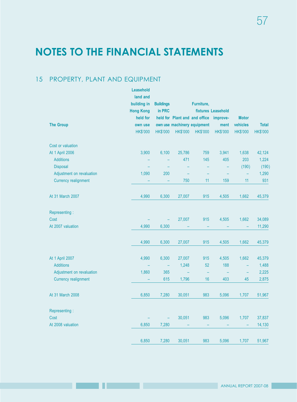## 15 PROPERTY, PLANT AND EQUIPMENT

|                             | Leasehold<br>land and |                          |                 |                               |                    |                 |                 |
|-----------------------------|-----------------------|--------------------------|-----------------|-------------------------------|--------------------|-----------------|-----------------|
|                             | building in           | <b>Buildings</b>         |                 | Furniture,                    |                    |                 |                 |
|                             | <b>Hong Kong</b>      | in PRC                   |                 |                               | fixtures Leasehold |                 |                 |
|                             | held for              |                          |                 | held for Plant and and office | improve-           | <b>Motor</b>    |                 |
| <b>The Group</b>            | own use               |                          |                 | own use machinery equipment   | ment               | vehicles        | <b>Total</b>    |
|                             | <b>HK\$'000</b>       | <b>HK\$'000</b>          | <b>HK\$'000</b> | <b>HK\$'000</b>               | <b>HK\$'000</b>    | <b>HK\$'000</b> | <b>HK\$'000</b> |
| Cost or valuation           |                       |                          |                 |                               |                    |                 |                 |
| At 1 April 2006             | 3,900                 | 6,100                    | 25,786          | 759                           | 3,941              | 1,638           | 42,124          |
| <b>Additions</b>            |                       |                          | 471             | 145                           | 405                | 203             | 1,224           |
| <b>Disposal</b>             |                       |                          |                 | -                             |                    | (190)           | (190)           |
| Adjustment on revaluation   | 1,090                 | 200                      |                 |                               |                    |                 | 1,290           |
| <b>Currency realignment</b> |                       |                          | 750             | 11                            | 159                | 11              | 931             |
| At 31 March 2007            | 4,990                 | 6,300                    | 27,007          | 915                           | 4,505              | 1,662           | 45,379          |
| Representing:               |                       |                          |                 |                               |                    |                 |                 |
| Cost                        |                       | $\overline{\phantom{m}}$ | 27,007          | 915                           | 4,505              | 1,662           | 34,089          |
| At 2007 valuation           | 4,990                 | 6,300                    |                 |                               |                    |                 | 11,290          |
|                             | 4,990                 | 6,300                    | 27,007          | 915                           | 4,505              | 1,662           | 45,379          |
| At 1 April 2007             | 4,990                 | 6,300                    | 27,007          | 915                           | 4,505              | 1,662           | 45,379          |
| <b>Additions</b>            |                       | $\overline{\phantom{m}}$ | 1,248           | 52                            | 188                | $\equiv$        | 1,488           |
| Adjustment on revaluation   | 1,860                 | 365                      |                 | ÷                             |                    |                 | 2,225           |
| <b>Currency realignment</b> |                       | 615                      | 1,796           | 16                            | 403                | 45              | 2,875           |
| At 31 March 2008            | 6,850                 | 7,280                    | 30,051          | 983                           | 5,096              | 1,707           | 51,967          |
| Representing:               |                       |                          |                 |                               |                    |                 |                 |
| Cost                        |                       | $\overline{\phantom{m}}$ | 30,051          | 983                           | 5,096              | 1,707           | 37,837          |
| At 2008 valuation           | 6,850                 | 7,280                    |                 |                               |                    |                 | 14,130          |
|                             | 6,850                 | 7,280                    | 30,051          | 983                           | 5,096              | 1,707           | 51,967          |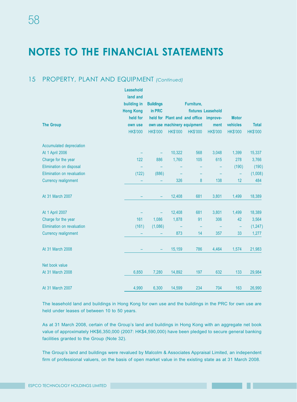### 15 PROPERTY, PLANT AND EQUIPMENT *(Continued)*

|                             | Leasehold<br>land and<br>building in<br><b>Hong Kong</b><br>held for | <b>Buildings</b><br>in PRC |                 | Furniture,<br>held for Plant and and office | fixtures Leasehold<br>improve- | <b>Motor</b>    |                 |
|-----------------------------|----------------------------------------------------------------------|----------------------------|-----------------|---------------------------------------------|--------------------------------|-----------------|-----------------|
| <b>The Group</b>            | own use                                                              |                            |                 | own use machinery equipment                 | ment                           | vehicles        | <b>Total</b>    |
|                             | <b>HK\$'000</b>                                                      | <b>HK\$'000</b>            | <b>HK\$'000</b> | <b>HK\$'000</b>                             | <b>HK\$'000</b>                | <b>HK\$'000</b> | <b>HK\$'000</b> |
| Accumulated depreciation    |                                                                      |                            |                 |                                             |                                |                 |                 |
| At 1 April 2006             |                                                                      |                            | 10,322          | 568                                         | 3,048                          | 1,399           | 15,337          |
| Charge for the year         | 122                                                                  | 886                        | 1,760           | 105                                         | 615                            | 278             | 3,766           |
| Elimination on disposal     |                                                                      |                            |                 |                                             |                                | (190)           | (190)           |
| Elimination on revaluation  | (122)                                                                | (886)                      |                 |                                             |                                | -               | (1,008)         |
| <b>Currency realignment</b> |                                                                      |                            | 326             | $\bf 8$                                     | 138                            | 12              | 484             |
| At 31 March 2007            |                                                                      |                            | 12,408          | 681                                         | 3,801                          | 1,499           | 18,389          |
| At 1 April 2007             |                                                                      |                            | 12,408          | 681                                         | 3,801                          | 1,499           | 18,389          |
| Charge for the year         | 161                                                                  | 1,086                      | 1,878           | 91                                          | 306                            | 42              | 3,564           |
| Elimination on revaluation  | (161)                                                                | (1,086)                    |                 |                                             |                                | -               | (1, 247)        |
| <b>Currency realignment</b> |                                                                      |                            | 873             | 14                                          | 357                            | 33              | 1,277           |
| At 31 March 2008            |                                                                      |                            | 15,159          | 786                                         | 4,464                          | 1,574           | 21,983          |
| Net book value              |                                                                      |                            |                 |                                             |                                |                 |                 |
| At 31 March 2008            | 6,850                                                                | 7,280                      | 14,892          | 197                                         | 632                            | 133             | 29,984          |
| At 31 March 2007            | 4,990                                                                | 6,300                      | 14,599          | 234                                         | 704                            | 163             | 26,990          |

The leasehold land and buildings in Hong Kong for own use and the buildings in the PRC for own use are held under leases of between 10 to 50 years.

As at 31 March 2008, certain of the Group's land and buildings in Hong Kong with an aggregate net book value of approximately HK\$6,350,000 (2007: HK\$4,590,000) have been pledged to secure general banking facilities granted to the Group (Note 32).

The Group's land and buildings were revalued by Malcolm & Associates Appraisal Limited, an independent firm of professional valuers, on the basis of open market value in the existing state as at 31 March 2008.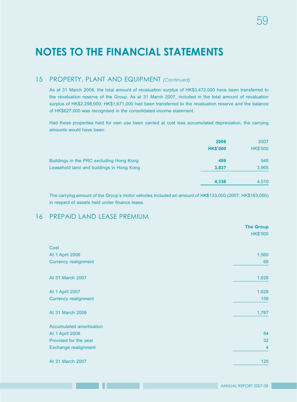### 15 PROPERTY, PLANT AND EQUIPMENT *(Continued)*

As at 31 March 2008, the total amount of revaluation surplus of HK\$3,472,000 have been transferred to the revaluation reserve of the Group. As at 31 March 2007, included in the total amount of revaluation surplus of HK\$2,298,000, HK\$1,671,000 had been transferred to the revaluation reserve and the balance of HK\$627,000 was recognised in the consolidated income statement.

Had these properties held for own use been carried at cost less accumulated depreciation, the carrying amounts would have been:

|                                           | 2008<br><b>HK\$'000</b> | 2007<br><b>HK\$'000</b> |
|-------------------------------------------|-------------------------|-------------------------|
| Buildings in the PRC excluding Hong Kong  | 499                     | 545                     |
| Leasehold land and buildings in Hong Kong | 3,837                   | 3,965                   |
|                                           | 4,336                   | 4,510                   |

The carrying amount of the Group's motor vehicles included an amount of HK\$133,000 (2007: HK\$163,000) in respect of assets held under finance lease.

### 16 PREPAID LAND LEASE PREMIUM

|                             | <b>The Group</b> |
|-----------------------------|------------------|
|                             | <b>HK\$'000</b>  |
| Cost                        |                  |
| At 1 April 2006             | 1,560            |
| <b>Currency realignment</b> | 68               |
| At 31 March 2007            | 1,628            |
| At 1 April 2007             | 1,628            |
| <b>Currency realignment</b> | 159              |
| At 31 March 2008            | 1,787            |
| Accumulated amortisation    |                  |
| At 1 April 2006             | 84               |
| Provided for the year       | 32               |
| Exchange realignment        | $\overline{4}$   |
| At 31 March 2007            | 120              |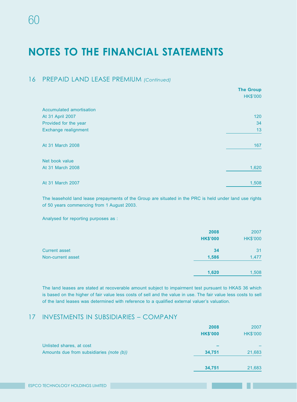### 16 PREPAID LAND LEASE PREMIUM *(Continued)*

|                          | <b>The Group</b><br><b>HK\$'000</b> |
|--------------------------|-------------------------------------|
|                          |                                     |
| Accumulated amortisation |                                     |
| At 31 April 2007         | 120                                 |
| Provided for the year    | 34                                  |
| Exchange realignment     | 13                                  |
| At 31 March 2008         | 167                                 |
| Net book value           |                                     |
| At 31 March 2008         | 1,620                               |
| At 31 March 2007         | 1,508                               |

The leasehold land lease prepayments of the Group are situated in the PRC is held under land use rights of 50 years commencing from 1 August 2003.

Analysed for reporting purposes as :

|                      | 2008<br><b>HK\$'000</b> | 2007<br><b>HK\$'000</b> |
|----------------------|-------------------------|-------------------------|
| <b>Current asset</b> | 34                      | 31                      |
| Non-current asset    | 1,586                   | 1,477                   |
|                      | 1,620                   | 1,508                   |

The land leases are stated at recoverable amount subject to impairment test pursuant to HKAS 36 which is based on the higher of fair value less costs of sell and the value in use. The fair value less costs to sell of the land leases was determined with reference to a qualified external valuer's valuation.

#### 17 INVESTMENTS IN SUBSIDIARIES – COMPANY

|                                          | 2008            | 2007            |
|------------------------------------------|-----------------|-----------------|
|                                          | <b>HK\$'000</b> | <b>HK\$'000</b> |
| Unlisted shares, at cost                 |                 |                 |
| Amounts due from subsidiaries (note (b)) | 34,751          | 21,683          |
|                                          | 34,751          | 21,683          |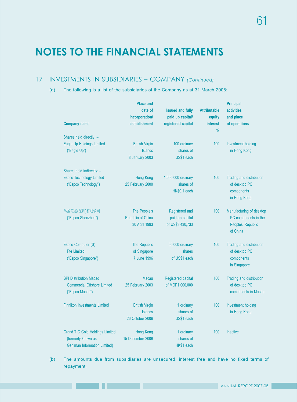## 17 INVESTMENTS IN SUBSIDIARIES – COMPANY *(Continued)*

(a) The following is a list of the subsidiaries of the Company as at 31 March 2008:

|                                                                                                     | <b>Place and</b><br>date of<br>incorporation/              | <b>Issued and fully</b><br>paid up capital/           | <b>Attributable</b><br>equity | <b>Principal</b><br>activities<br>and place                                       |
|-----------------------------------------------------------------------------------------------------|------------------------------------------------------------|-------------------------------------------------------|-------------------------------|-----------------------------------------------------------------------------------|
| <b>Company name</b>                                                                                 | establishment                                              | registered capital                                    | interest                      | of operations                                                                     |
| Shares held directly: -                                                                             |                                                            |                                                       | $\frac{0}{0}$                 |                                                                                   |
| Eagle Up Holdings Limited<br>("Eagle Up")                                                           | <b>British Virgin</b><br><b>Islands</b><br>8 January 2003  | 100 ordinary<br>shares of<br>US\$1 each               | 100                           | <b>Investment holding</b><br>in Hong Kong                                         |
| Shares held indirectly: -                                                                           |                                                            |                                                       |                               |                                                                                   |
| <b>Espco Technology Limited</b><br>("Espco Technology")                                             | Hong Kong<br>25 February 2000                              | 1,000,000 ordinary<br>shares of<br>HK\$0.1 each       | 100                           | Trading and distribution<br>of desktop PC<br>components<br>in Hong Kong           |
| 易盈電腦(深圳)有限公司<br>("Espco Shenzhen")                                                                  | The People's<br>Republic of China<br>30 April 1993         | Registered and<br>paid-up capital<br>of US\$3,430,733 | 100                           | Manufacturing of desktop<br>PC components in the<br>Peoples' Republic<br>of China |
| Espco Computer (S)<br><b>Pte Limited</b><br>("Espco Singapore")                                     | The Republic<br>of Singapore<br>7 June 1996                | 50,000 ordinary<br>shares<br>of US\$1 each            | 100                           | Trading and distribution<br>of desktop PC<br>components<br>in Singapore           |
| <b>SPI Distribution Macao</b><br><b>Commercial Offshore Limited</b><br>("Espco Macau")              | <b>Macau</b><br>25 February 2003                           | Registered capital<br>of MOP1,000,000                 | 100                           | Trading and distribution<br>of desktop PC<br>components in Macau                  |
| <b>Finnikon Investments Limited</b>                                                                 | <b>British Virgin</b><br><b>Islands</b><br>26 October 2006 | 1 ordinary<br>shares of<br>US\$1 each                 | 100                           | <b>Investment holding</b><br>in Hong Kong                                         |
| <b>Grand T G Gold Holdings Limited</b><br>(formerly known as<br><b>Geniman Information Limited)</b> | Hong Kong<br>15 December 2006                              | 1 ordinary<br>shares of<br>HK\$1 each                 | 100                           | <b>Inactive</b>                                                                   |

(b) The amounts due from subsidiaries are unsecured, interest free and have no fixed terms of repayment.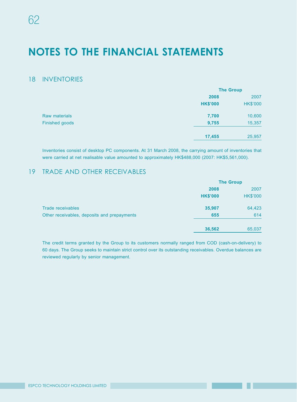### 18 INVENTORIES

|                      | <b>The Group</b> |                 |
|----------------------|------------------|-----------------|
|                      | 2008             | 2007            |
|                      | <b>HK\$'000</b>  | <b>HK\$'000</b> |
| <b>Raw materials</b> | 7,700            | 10,600          |
| Finished goods       | 9,755            | 15,357          |
|                      | 17,455           | 25,957          |

Inventories consist of desktop PC components. At 31 March 2008, the carrying amount of inventories that were carried at net realisable value amounted to approximately HK\$488,000 (2007: HK\$5,561,000).

## 19 TRADE AND OTHER RECEIVABLES

|                                             | <b>The Group</b> |                 |
|---------------------------------------------|------------------|-----------------|
|                                             | 2008             | 2007            |
|                                             | <b>HK\$'000</b>  | <b>HK\$'000</b> |
| Trade receivables                           | 35,907           | 64,423          |
| Other receivables, deposits and prepayments | 655              | 614             |
|                                             | 36,562           | 65,037          |

The credit terms granted by the Group to its customers normally ranged from COD (cash-on-delivery) to 60 days. The Group seeks to maintain strict control over its outstanding receivables. Overdue balances are reviewed regularly by senior management.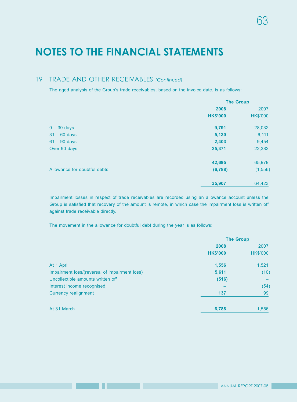### 19 TRADE AND OTHER RECEIVABLES *(Continued)*

The aged analysis of the Group's trade receivables, based on the invoice date, is as follows:

|                              | <b>The Group</b> |                 |  |
|------------------------------|------------------|-----------------|--|
|                              | 2008             | 2007            |  |
|                              | <b>HK\$'000</b>  | <b>HK\$'000</b> |  |
| $0 - 30$ days                | 9,791            | 28,032          |  |
| $31 - 60$ days               | 5,130            | 6,111           |  |
| $61 - 90$ days               | 2,403            | 9,454           |  |
| Over 90 days                 | 25,371           | 22,382          |  |
|                              | 42,695           | 65,979          |  |
| Allowance for doubtful debts | (6, 788)         | (1, 556)        |  |
|                              | 35,907           | 64,423          |  |

Impairment losses in respect of trade receivables are recorded using an allowance account unless the Group is satisfied that recovery of the amount is remote, in which case the impairment loss is written off against trade receivable directly.

The movement in the allowance for doubtful debt during the year is as follows:

|                                               | <b>The Group</b> |                 |
|-----------------------------------------------|------------------|-----------------|
|                                               | 2008             | 2007            |
|                                               | <b>HK\$'000</b>  | <b>HK\$'000</b> |
| At 1 April                                    | 1,556            | 1,521           |
| Impairment loss/(reversal of impairment loss) | 5,611            | (10)            |
| Uncollectible amounts written off             | (516)            |                 |
| Interest income recognised                    |                  | (54)            |
| Currency realignment                          | 137              | 99              |
| At 31 March                                   | 6,788            | 1,556           |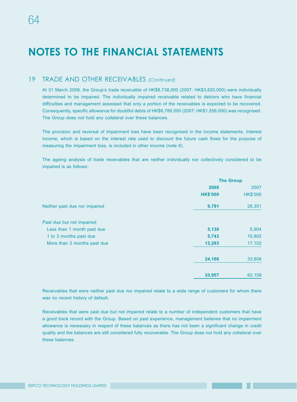#### 19 TRADE AND OTHER RECEIVABLES *(Continued)*

At 31 March 2008, the Group's trade receivable of HK\$8,738,000 (2007: HK\$3,820,000) were individually determined to be impaired. The individually impaired receivable related to debtors who have financial difficulties and management assessed that only a portion of the receivables is expected to be recovered. Consequently, specific allowance for doubtful debts of HK\$6,788,000 (2007: HK\$1,556,000) was recognised. The Group does not hold any collateral over these balances.

The provision and reversal of impairment loss have been recognised in the income statements. Interest income, which is based on the interest rate used to discount the future cash flows for the purpose of measuring the impairment loss, is included in other income (note 6).

The ageing analysis of trade receivables that are neither individually nor collectively considered to be impaired is as follows:

|                               | <b>The Group</b> |                 |  |
|-------------------------------|------------------|-----------------|--|
|                               | 2008             | 2007            |  |
|                               | <b>HK\$'000</b>  | <b>HK\$'000</b> |  |
| Neither past due nor impaired | 9,791            | 28,351          |  |
| Past due but not impaired:    |                  |                 |  |
| Less than 1 month past due    | 5,130            | 5,904           |  |
| 1 to 3 months past due        | 5,743            | 10,802          |  |
| More than 3 months past due   | 13,293           | 17,102          |  |
|                               | 24,166           | 33,808          |  |
|                               | 33,957           | 62,159          |  |

Receivables that were neither past due nor impaired relate to a wide range of customers for whom there was no recent history of default.

Receivables that were past due but not impaired relate to a number of independent customers that have a good track record with the Group. Based on past experience, management believes that no impairment allowance is necessary in respect of these balances as there has not been a significant change in credit quality and the balances are still considered fully recoverable. The Group does not hold any collateral over these balances.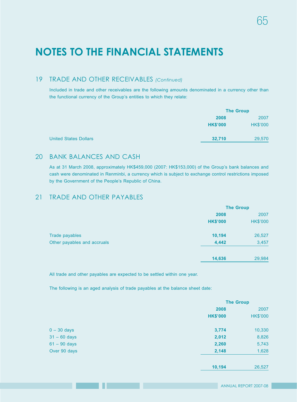## 19 TRADE AND OTHER RECEIVABLES *(Continued)*

Included in trade and other receivables are the following amounts denominated in a currency other than the functional currency of the Group's entities to which they relate:

|                              |                 | <b>The Group</b> |  |
|------------------------------|-----------------|------------------|--|
|                              | 2008            | 2007             |  |
|                              | <b>HK\$'000</b> | <b>HK\$'000</b>  |  |
| <b>United States Dollars</b> | 32,710          | 29,570           |  |

### 20 BANK BALANCES AND CASH

As at 31 March 2008, approximately HK\$459,000 (2007: HK\$153,000) of the Group's bank balances and cash were denominated in Renminbi, a currency which is subject to exchange control restrictions imposed by the Government of the People's Republic of China.

### 21 TRADE AND OTHER PAYABLES

|                             | <b>The Group</b> |                 |  |
|-----------------------------|------------------|-----------------|--|
|                             | 2008             | 2007            |  |
|                             | <b>HK\$'000</b>  | <b>HK\$'000</b> |  |
| Trade payables              | 10,194           | 26,527          |  |
| Other payables and accruals | 4,442            | 3,457           |  |
|                             | 14,636           | 29,984          |  |
|                             |                  |                 |  |

All trade and other payables are expected to be settled within one year.

The following is an aged analysis of trade payables at the balance sheet date:

|                | <b>The Group</b> |                 |  |
|----------------|------------------|-----------------|--|
|                | 2008             | 2007            |  |
|                | <b>HK\$'000</b>  | <b>HK\$'000</b> |  |
| $0 - 30$ days  | 3,774            | 10,330          |  |
| $31 - 60$ days | 2,012            | 8,826           |  |
| $61 - 90$ days | 2,260            | 5,743           |  |
| Over 90 days   | 2,148            | 1,628           |  |
|                | 10,194           | 26,527          |  |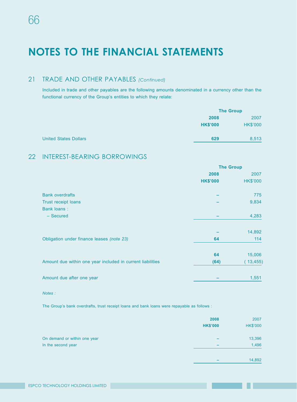### 21 TRADE AND OTHER PAYABLES *(Continued)*

Included in trade and other payables are the following amounts denominated in a currency other than the functional currency of the Group's entities to which they relate:

|                              |                 | <b>The Group</b> |  |
|------------------------------|-----------------|------------------|--|
|                              | 2008            | 2007             |  |
|                              | <b>HK\$'000</b> | <b>HK\$'000</b>  |  |
| <b>United States Dollars</b> | 629             | 8,513            |  |

### 22 INTEREST-BEARING BORROWINGS

|                                                            | <b>The Group</b> |                 |
|------------------------------------------------------------|------------------|-----------------|
|                                                            | 2008             | 2007            |
|                                                            | <b>HK\$'000</b>  | <b>HK\$'000</b> |
| <b>Bank overdrafts</b>                                     |                  | 775             |
| <b>Trust receipt loans</b>                                 |                  | 9,834           |
| <b>Bank loans:</b>                                         |                  |                 |
| - Secured                                                  |                  | 4,283           |
|                                                            |                  | 14,892          |
| Obligation under finance leases (note 23)                  | 64               | 114             |
|                                                            | 64               | 15,006          |
| Amount due within one year included in current liabilities | (64)             | (13, 455)       |
| Amount due after one year                                  |                  | 1,551           |

#### *Notes :*

The Group's bank overdrafts, trust receipt loans and bank loans were repayable as follows :

|                                                    | 2008<br><b>HK\$'000</b> | 2007<br><b>HK\$'000</b> |
|----------------------------------------------------|-------------------------|-------------------------|
| On demand or within one year<br>In the second year | -                       | 13,396<br>1,496         |
|                                                    |                         | 14,892                  |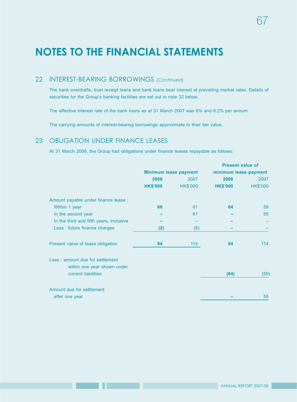### 22 INTEREST-BEARING BORROWINGS *(Continued)*

The bank overdrafts, trust receipt loans and bank loans bear interest at prevailing market rates. Details of securities for the Group's banking facilities are set out in note 32 below.

The effective interest rate of the bank loans as at 31 March 2007 was 6% and 6.2% per annum.

The carrying amounts of interest-bearing borrowings approximate to their fair value.

### 23 OBLIGATION UNDER FINANCE LEASES

At 31 March 2008, the Group had obligations under finance leases repayable as follows:

|                                                                |                 |                              | <b>Present value of</b> |                 |
|----------------------------------------------------------------|-----------------|------------------------------|-------------------------|-----------------|
|                                                                |                 | <b>Minimum lease payment</b> | minimum lease payment   |                 |
|                                                                | 2008            | 2007                         | 2008                    | 2007            |
|                                                                | <b>HK\$'000</b> | <b>HK\$'000</b>              | <b>HK\$'000</b>         | <b>HK\$'000</b> |
| Amount payable under finance lease :                           |                 |                              |                         |                 |
| Within 1 year                                                  | 66              | 61                           | 64                      | 59              |
| In the second year                                             |                 | 61                           |                         | 55              |
| In the third and fifth years, inclusive                        |                 |                              |                         |                 |
| Less : future finance charges                                  | (2)             | (8)                          |                         |                 |
| Present value of lease obligation                              | 64              | 114                          | 64                      | 114             |
| Less: amount due for settlement<br>within one year shown under |                 |                              |                         |                 |
| current liabilities                                            |                 |                              | (64)                    | (59)            |
| Amount due for settlement                                      |                 |                              |                         |                 |
| after one year                                                 |                 |                              |                         | 55              |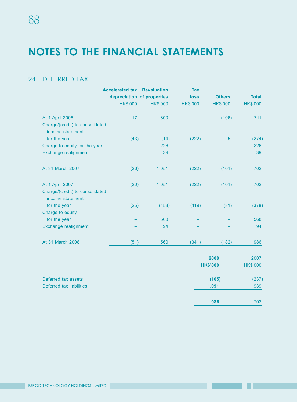## 24 DEFERRED TAX

|                                                     | <b>Accelerated tax Revaluation</b> |                            | <b>Tax</b>      |                 |                 |
|-----------------------------------------------------|------------------------------------|----------------------------|-----------------|-----------------|-----------------|
|                                                     |                                    | depreciation of properties | <b>loss</b>     | <b>Others</b>   | <b>Total</b>    |
|                                                     | <b>HK\$'000</b>                    | <b>HK\$'000</b>            | <b>HK\$'000</b> | <b>HK\$'000</b> | <b>HK\$'000</b> |
| At 1 April 2006                                     | 17                                 | 800                        |                 | (106)           | 711             |
| Charge/(credit) to consolidated<br>income statement |                                    |                            |                 |                 |                 |
| for the year                                        | (43)                               | (14)                       | (222)           | 5               | (274)           |
| Charge to equity for the year                       |                                    | 226                        |                 |                 | 226             |
| Exchange realignment                                |                                    | 39                         |                 |                 | 39              |
| At 31 March 2007                                    | (26)                               | 1,051                      | (222)           | (101)           | 702             |
| At 1 April 2007                                     | (26)                               | 1,051                      | (222)           | (101)           | 702             |
| Charge/(credit) to consolidated<br>income statement |                                    |                            |                 |                 |                 |
| for the year                                        | (25)                               | (153)                      | (119)           | (81)            | (378)           |
| Charge to equity                                    |                                    |                            |                 |                 |                 |
| for the year                                        |                                    | 568                        |                 |                 | 568             |
| Exchange realignment                                |                                    | 94                         |                 |                 | 94              |
| At 31 March 2008                                    | (51)                               | 1,560                      | (341)           | (182)           | 986             |
|                                                     |                                    |                            |                 |                 |                 |

|                          | 2008            | 2007            |
|--------------------------|-----------------|-----------------|
|                          | <b>HK\$'000</b> | <b>HK\$'000</b> |
| Deferred tax assets      | (105)           | (237)           |
| Deferred tax liabilities | 1,091           | 939             |
|                          | 986             | 702             |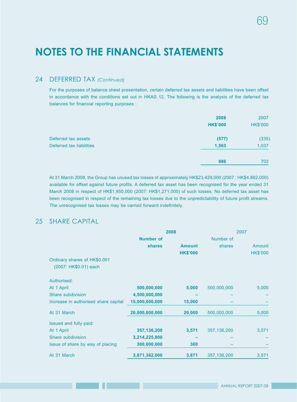### 24 DEFERRED TAX *(Continued)*

For the purposes of balance sheet presentation, certain deferred tax assets and liabilities have been offset in accordance with the conditions set out in HKAS 12. The following is the analysis of the deferred tax balances for financial reporting purposes :

|                          | 2008<br><b>HK\$'000</b> | 2007<br><b>HK\$'000</b> |
|--------------------------|-------------------------|-------------------------|
| Deferred tax assets      | (577)                   | (335)                   |
| Deferred tax liabilities | 1,563                   | 1,037                   |
|                          | 986                     | 702                     |

At 31 March 2008, the Group has unused tax losses of approximately HK\$23,429,000 (2007 : HK\$4,882,000) available for offset against future profits. A deferred tax asset has been recognised for the year ended 31 March 2008 in respect of HK\$1,950,000 (2007: HK\$1,271,000) of such losses. No deferred tax asset has been recognised in respect of the remaining tax losses due to the unpredictability of future profit streams. The unrecognised tax losses may be carried forward indefinitely.

## 25 SHARE CAPITAL

|                                      | 2008             |                 | 2007          |                 |
|--------------------------------------|------------------|-----------------|---------------|-----------------|
|                                      | <b>Number of</b> |                 | Number of     |                 |
|                                      | <b>shares</b>    | <b>Amount</b>   | shares        | Amount          |
|                                      |                  | <b>HK\$'000</b> |               | <b>HK\$'000</b> |
| Ordinary shares of HK\$0.001         |                  |                 |               |                 |
| (2007: HK\$0.01) each                |                  |                 |               |                 |
| Authorised:                          |                  |                 |               |                 |
| At 1 April                           | 500,000,000      | 5,000           | 500,000,000   | 5,000           |
| Share subdivision                    | 4,500,000,000    |                 |               |                 |
| Increase in authorised share capital | 15,000,000,000   | 15,000          |               |                 |
| At 31 March                          | 20,000,000,000   | 20,000          | 500,000,000   | 5,000           |
| Issued and fully paid:               |                  |                 |               |                 |
| At 1 April                           | 357,136,200      | 3,571           | 357,136,200   | 3,571           |
| Share subdivision                    | 3,214,225,800    |                 |               |                 |
| Issue of share by way of placing     | 300,000,000      | 300             |               |                 |
| At 31 March                          | 3,871,362,000    | 3,871           | 357, 136, 200 | 3,571           |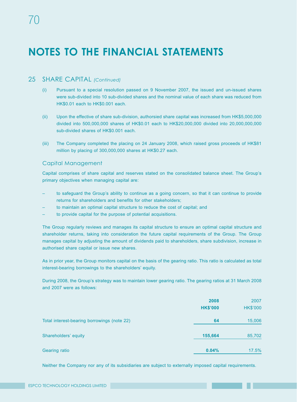#### 25 SHARE CAPITAL *(Continued)*

- (i) Pursuant to a special resolution passed on 9 November 2007, the issued and un-issued shares were sub-divided into 10 sub-divided shares and the nominal value of each share was reduced from HK\$0.01 each to HK\$0.001 each.
- (ii) Upon the effective of share sub-division, authorsied share capital was increased from HK\$5,000,000 divided into 500,000,000 shares of HK\$0.01 each to HK\$20,000,000 divided into 20,000,000,000 sub-divided shares of HK\$0.001 each.
- (iii) The Company completed the placing on 24 January 2008, which raised gross proceeds of HK\$81 million by placing of 300,000,000 shares at HK\$0.27 each.

#### Capital Management

Capital comprises of share capital and reserves stated on the consolidated balance sheet. The Group's primary objectives when managing capital are:

- to safeguard the Group's ability to continue as a going concern, so that it can continue to provide returns for shareholders and benefits for other stakeholders;
- to maintain an optimal capital structure to reduce the cost of capital; and
- to provide capital for the purpose of potential acquisitions.

The Group regularly reviews and manages its capital structure to ensure an optimal capital structure and shareholder returns, taking into consideration the future capital requirements of the Group. The Group manages capital by adjusting the amount of dividends paid to shareholders, share subdivision, increase in authorised share capital or issue new shares.

As in prior year, the Group monitors capital on the basis of the gearing ratio. This ratio is calculated as total interest-bearing borrowings to the shareholders' equity.

During 2008, the Group's strategy was to maintain lower gearing ratio. The gearing ratios at 31 March 2008 and 2007 were as follows:

|                                             | 2008<br><b>HK\$'000</b> | 2007<br><b>HK\$'000</b> |
|---------------------------------------------|-------------------------|-------------------------|
| Total interest-bearing borrowings (note 22) | 64                      | 15,006                  |
| Shareholders' equity                        | 155,664                 | 85,702                  |
| <b>Gearing ratio</b>                        | 0.04%                   | 17.5%                   |

Neither the Company nor any of its subsidiaries are subject to externally imposed capital requirements.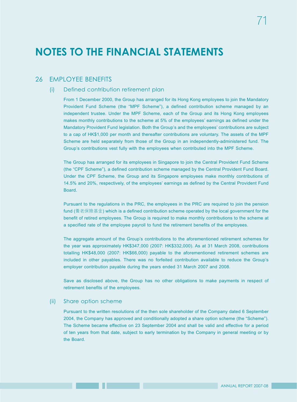### 26 **EMPLOYEE BENEFITS**

#### (i) Defined contribution retirement plan

From 1 December 2000, the Group has arranged for its Hong Kong employees to join the Mandatory Provident Fund Scheme (the "MPF Scheme"), a defined contribution scheme managed by an independent trustee. Under the MPF Scheme, each of the Group and its Hong Kong employees makes monthly contributions to the scheme at 5% of the employees' earnings as defined under the Mandatory Provident Fund legislation. Both the Group's and the employees' contributions are subject to a cap of HK\$1,000 per month and thereafter contributions are voluntary. The assets of the MPF Scheme are held separately from those of the Group in an independently-administered fund. The Group's contributions vest fully with the employees when contributed into the MPF Scheme.

The Group has arranged for its employees in Singapore to join the Central Provident Fund Scheme (the "CPF Scheme"), a defined contribution scheme managed by the Central Provident Fund Board. Under the CPF Scheme, the Group and its Singapore employees make monthly contributions of 14.5% and 20%, respectively, of the employees' earnings as defined by the Central Provident Fund Board.

Pursuant to the regulations in the PRC, the employees in the PRC are required to join the pension fund (養老保險基金) which is a defined contribution scheme operated by the local government for the benefit of retired employees. The Group is required to make monthly contributions to the scheme at a specified rate of the employee payroll to fund the retirement benefits of the employees.

The aggregate amount of the Group's contributions to the aforementioned retirement schemes for the year was approximately HK\$347,000 (2007: HK\$332,000). As at 31 March 2008, contributions totalling HK\$48,000 (2007: HK\$66,000) payable to the aforementioned retirement schemes are included in other payables. There was no forfeited contribution available to reduce the Group's employer contribution payable during the years ended 31 March 2007 and 2008.

Save as disclosed above, the Group has no other obligations to make payments in respect of retirement benefits of the employees.

#### (ii) Share option scheme

Pursuant to the written resolutions of the then sole shareholder of the Company dated 6 September 2004, the Company has approved and conditionally adopted a share option scheme (the "Scheme"). The Scheme became effective on 23 September 2004 and shall be valid and effective for a period of ten years from that date, subject to early termination by the Company in general meeting or by the Board.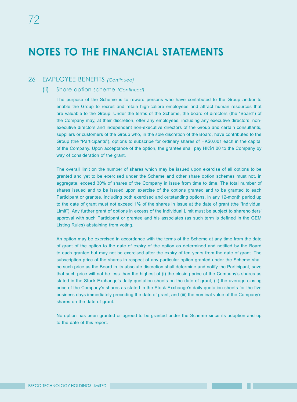### 26 EMPLOYEE BENEFITS *(Continued)*

#### (ii) Share option scheme *(Continued)*

The purpose of the Scheme is to reward persons who have contributed to the Group and/or to enable the Group to recruit and retain high-calibre employees and attract human resources that are valuable to the Group. Under the terms of the Scheme, the board of directors (the "Board") of the Company may, at their discretion, offer any employees, including any executive directors, nonexecutive directors and independent non-executive directors of the Group and certain consultants, suppliers or customers of the Group who, in the sole discretion of the Board, have contributed to the Group (the "Participants"), options to subscribe for ordinary shares of HK\$0.001 each in the capital of the Company. Upon acceptance of the option, the grantee shall pay HK\$1.00 to the Company by way of consideration of the grant.

The overall limit on the number of shares which may be issued upon exercise of all options to be granted and yet to be exercised under the Scheme and other share option schemes must not, in aggregate, exceed 30% of shares of the Company in issue from time to time. The total number of shares issued and to be issued upon exercise of the options granted and to be granted to each Participant or grantee, including both exercised and outstanding options, in any 12-month period up to the date of grant must not exceed 1% of the shares in issue at the date of grant (the "Individual Limit"). Any further grant of options in excess of the Individual Limit must be subject to shareholders' approval with such Participant or grantee and his associates (as such term is defined in the GEM Listing Rules) abstaining from voting.

An option may be exercised in accordance with the terms of the Scheme at any time from the date of grant of the option to the date of expiry of the option as determined and notified by the Board to each grantee but may not be exercised after the expiry of ten years from the date of grant. The subscription price of the shares in respect of any particular option granted under the Scheme shall be such price as the Board in its absolute discretion shall determine and notify the Participant, save that such price will not be less than the highest of (i) the closing price of the Company's shares as stated in the Stock Exchange's daily quotation sheets on the date of grant, (ii) the average closing price of the Company's shares as stated in the Stock Exchange's daily quotation sheets for the five business days immediately preceding the date of grant, and (iii) the nominal value of the Company's shares on the date of grant.

No option has been granted or agreed to be granted under the Scheme since its adoption and up to the date of this report.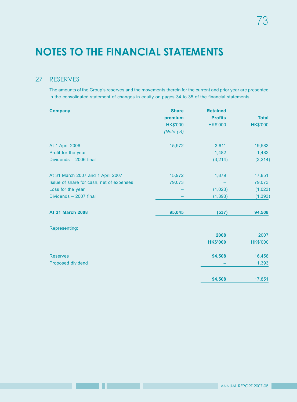### 27 RESERVES

The amounts of the Group's reserves and the movements therein for the current and prior year are presented in the consolidated statement of changes in equity on pages 34 to 35 of the financial statements.

| <b>Company</b>                           | <b>Share</b>    | <b>Retained</b> |                 |
|------------------------------------------|-----------------|-----------------|-----------------|
|                                          | premium         | <b>Profits</b>  | <b>Total</b>    |
|                                          | <b>HK\$'000</b> | <b>HK\$'000</b> | <b>HK\$'000</b> |
|                                          | (Note $(v)$ )   |                 |                 |
| At 1 April 2006                          | 15,972          | 3,611           | 19,583          |
| Profit for the year                      |                 | 1,482           | 1,482           |
| Dividends - 2006 final                   |                 | (3,214)         | (3,214)         |
|                                          |                 |                 |                 |
| At 31 March 2007 and 1 April 2007        | 15,972          | 1,879           | 17,851          |
| Issue of share for cash, net of expenses | 79,073          |                 | 79,073          |
| Loss for the year                        |                 | (1,023)         | (1,023)         |
| Dividends - 2007 final                   |                 | (1, 393)        | (1, 393)        |
| <b>At 31 March 2008</b>                  | 95,045          | (537)           | 94,508          |
| Representing:                            |                 |                 |                 |
|                                          |                 | 2008            | 2007            |
|                                          |                 | <b>HK\$'000</b> | <b>HK\$'000</b> |
| <b>Reserves</b>                          |                 | 94,508          | 16,458          |
| Proposed dividend                        |                 |                 | 1,393           |
|                                          |                 | 94,508          | 17,851          |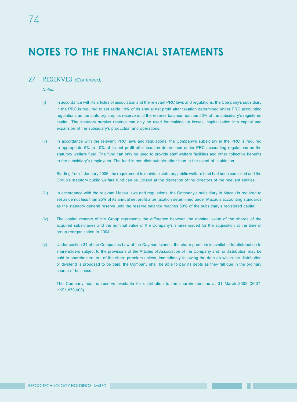### 27 RESERVES *(Continued)*

*Notes:*

- (i) In accordance with its articles of association and the relevant PRC laws and regulations, the Company's subsidiary in the PRC is required to set aside 10% of its annual net profit after taxation determined under PRC accounting regulations as the statutory surplus reserve until the reserve balance reaches 50% of the subsidiary's registered capital. The statutory surplus reserve can only be used for making up losses, capitalisation into capital and expansion of the subsidiary's production and operations.
- (ii) In accordance with the relevant PRC laws and regulations, the Company's subsidiary in the PRC is required to appropriate 5% to 10% of its net profit after taxation determined under PRC accounting regulations as the statutory welfare fund. The fund can only be used to provide staff welfare facilities and other collective benefits to the subsidiary's employees. The fund is non-distributable other than in the event of liquidation.

Starting from 1 January 2006, the requirement to maintain statutory public welfare fund had been cancelled and the Group's statutory public welfare fund can be utilized at the discretion of the directors of the relevant entities.

- (iii) In accordance with the relevant Macau laws and regulations, the Company's subsidiary in Macau is required to set aside not less than 25% of its annual net profit after taxation determined under Macau's accounting standards as the statutory general reserve until the reserve balance reaches 50% of the subsidiary's registered capital.
- (iv) The capital reserve of the Group represents the difference between the nominal value of the shares of the acquired subsidiaries and the nominal value of the Company's shares issued for the acquisition at the time of group reorganisation in 2004.
- (v) Under section 34 of the Companies Law of the Cayman Islands, the share premium is available for distribution to shareholders subject to the provisions of the Articles of Association of the Company and no distribution may be paid to shareholders out of the share premium unless, immediately following the date on which the distribution or dividend is proposed to be paid, the Company shall be able to pay its debts as they fall due in the ordinary course of business.

The Company had no reserve available for distribution to the shareholders as at 31 March 2008 (2007: HK\$1,879,000).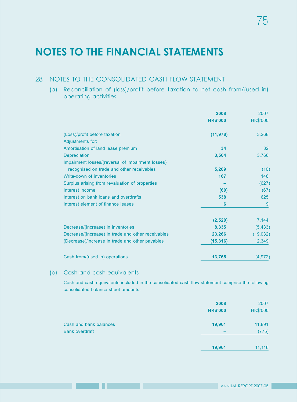75

## **NOTES TO THE FINANCIAL STATEMENTS**

### 28 NOTES TO THE CONSOLIDATED CASH FLOW STATEMENT

(a) Reconciliation of (loss)/profit before taxation to net cash from/(used in) operating activities

|                                                    | 2008<br><b>HK\$'000</b> | 2007<br><b>HK\$'000</b> |
|----------------------------------------------------|-------------------------|-------------------------|
| (Loss)/profit before taxation                      | (11, 978)               | 3,268                   |
| Adjustments for:                                   |                         |                         |
| Amortisation of land lease premium                 | 34                      | 32                      |
| <b>Depreciation</b>                                | 3,564                   | 3,766                   |
| Impairment losses/(reversal of impairment losses)  |                         |                         |
| recognised on trade and other receivables          | 5,209                   | (10)                    |
| Write-down of inventories                          | 167                     | 148                     |
| Surplus arising from revaluation of properties     |                         | (627)                   |
| Interest income                                    | (60)                    | (67)                    |
| Interest on bank loans and overdrafts              | 538                     | 625                     |
| Interest element of finance leases                 | 6                       | 9                       |
|                                                    | (2,520)                 | 7,144                   |
| Decrease/(increase) in inventories                 | 8,335                   | (5, 433)                |
| Decrease/(increase) in trade and other receivables | 23,266                  | (19,032)                |
| (Decrease)/increase in trade and other payables    | (15, 316)               | 12,349                  |
| Cash from/(used in) operations                     | 13,765                  | (4, 972)                |

#### (b) Cash and cash equivalents

Cash and cash equivalents included in the consolidated cash flow statement comprise the following consolidated balance sheet amounts:

|                        | 2008<br><b>HK\$'000</b> | 2007<br><b>HK\$'000</b> |
|------------------------|-------------------------|-------------------------|
| Cash and bank balances | 19,961                  | 11,891                  |
| <b>Bank overdraft</b>  | -                       | (775)                   |
|                        | 19,961                  | 11,116                  |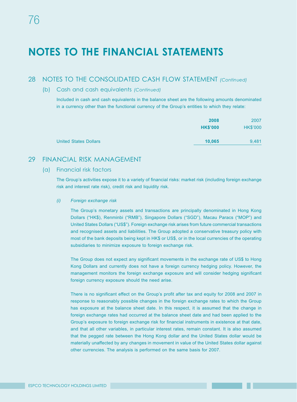### 28 NOTES TO THE CONSOLIDATED CASH FLOW STATEMENT *(Continued)*

#### (b) Cash and cash equivalents *(Continued)*

Included in cash and cash equivalents in the balance sheet are the following amounts denominated in a currency other than the functional currency of the Group's entities to which they relate:

|                              | 2008            | 2007            |
|------------------------------|-----------------|-----------------|
|                              | <b>HK\$'000</b> | <b>HK\$'000</b> |
| <b>United States Dollars</b> | 10.065          | 9,481           |

### 29 FINANCIAL RISK MANAGEMENT

#### (a) Financial risk factors

The Group's activities expose it to a variety of financial risks: market risk (including foreign exchange risk and interest rate risk), credit risk and liquidity risk.

#### *(i) Foreign exchange risk*

The Group's monetary assets and transactions are principally denominated in Hong Kong Dollars ("HK\$), Renminbi ("RMB"), Singapore Dollars ("SGD"), Macau Paracs ("MOP") and United States Dollars ("US\$"). Foreign exchange risk arises from future commercial transactions and recognised assets and liabilities. The Group adopted a conservative treasury policy with most of the bank deposits being kept in HK\$ or US\$, or in the local currencies of the operating subsidiaries to minimize exposure to foreign exchange risk.

The Group does not expect any significant movements in the exchange rate of US\$ to Hong Kong Dollars and currently does not have a foreign currency hedging policy. However, the management monitors the foreign exchange exposure and will consider hedging significant foreign currency exposure should the need arise.

There is no significant effect on the Group's profit after tax and equity for 2008 and 2007 in response to reasonably possible changes in the foreign exchange rates to which the Group has exposure at the balance sheet date. In this respect, it is assumed that the change in foreign exchange rates had occurred at the balance sheet date and had been applied to the Group's exposure to foreign exchange risk for financial instruments in existence at that date, and that all other variables, in particular interest rates, remain constant. It is also assumed that the pegged rate between the Hong Kong dollar and the United States dollar would be materially unaffected by any changes in movement in value of the United States dollar against other currencies. The analysis is performed on the same basis for 2007.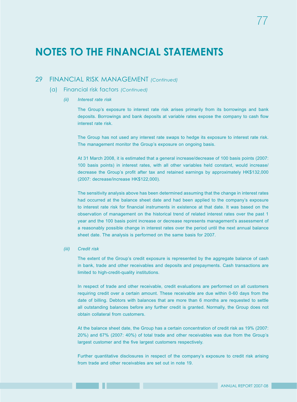### 29 FINANCIAL RISK MANAGEMENT *(Continued)*

- (a) Financial risk factors *(Continued)*
	- *(ii) Interest rate risk*

The Group's exposure to interest rate risk arises primarily from its borrowings and bank deposits. Borrowings and bank deposits at variable rates expose the company to cash flow interest rate risk.

The Group has not used any interest rate swaps to hedge its exposure to interest rate risk. The management monitor the Group's exposure on ongoing basis.

At 31 March 2008, it is estimated that a general increase/decrease of 100 basis points (2007: 100 basis points) in interest rates, with all other variables held constant, would increase/ decrease the Group's profit after tax and retained earnings by approximately HK\$132,000 (2007: decrease/increase HK\$122,000).

The sensitivity analysis above has been determined assuming that the change in interest rates had occurred at the balance sheet date and had been applied to the company's exposure to interest rate risk for financial instruments in existence at that date. It was based on the observation of management on the historical trend of related interest rates over the past 1 year and the 100 basis point increase or decrease represents management's assessment of a reasonably possible change in interest rates over the period until the next annual balance sheet date. The analysis is performed on the same basis for 2007.

#### *(iii) Credit risk*

The extent of the Group's credit exposure is represented by the aggregate balance of cash in bank, trade and other receivables and deposits and prepayments. Cash transactions are limited to high-credit-quality institutions.

In respect of trade and other receivable, credit evaluations are performed on all customers requiring credit over a certain amount. These receivable are due within 0-60 days from the date of billing. Debtors with balances that are more than 6 months are requested to settle all outstanding balances before any further credit is granted. Normally, the Group does not obtain collateral from customers.

At the balance sheet date, the Group has a certain concentration of credit risk as 19% (2007: 20%) and 67% (2007: 40%) of total trade and other receivables was due from the Group's largest customer and the five largest customers respectively.

Further quantitative disclosures in respect of the company's exposure to credit risk arising from trade and other receivables are set out in note 19.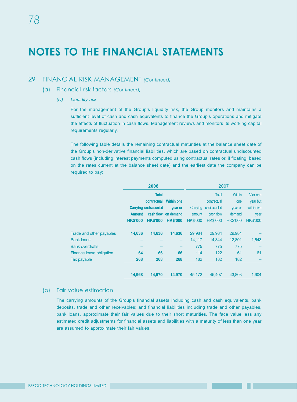### 29 FINANCIAL RISK MANAGEMENT *(Continued)*

- (a) Financial risk factors *(Continued)*
	- *(iv) Liquidity risk*

For the management of the Group's liquidity risk, the Group monitors and maintains a sufficient level of cash and cash equivalents to finance the Group's operations and mitigate the effects of fluctuation in cash flows. Management reviews and monitors its working capital requirements regularly.

The following table details the remaining contractual maturities at the balance sheet date of the Group's non-derivative financial liabilities, which are based on contractual undiscounted cash flows (including interest payments computed using contractual rates or, if floating, based on the rates current at the balance sheet date) and the earliest date the company can be required to pay:

|                          |                 | 2008                         |                     |                 | 2007            |                 |                 |
|--------------------------|-----------------|------------------------------|---------------------|-----------------|-----------------|-----------------|-----------------|
|                          |                 | <b>Total</b>                 |                     |                 | <b>Total</b>    | <b>Within</b>   | After one       |
|                          |                 | contractual                  | <b>Within one</b>   |                 | contractual     | one             | year but        |
|                          |                 | <b>Carrying undiscounted</b> | year or             | Carrying        | undiscounted    | year or         | within five     |
|                          | <b>Amount</b>   |                              | cash flow on demand | amount          | cash flow       | demand          | year            |
|                          | <b>HK\$'000</b> | <b>HK\$'000</b>              | <b>HK\$'000</b>     | <b>HK\$'000</b> | <b>HK\$'000</b> | <b>HK\$'000</b> | <b>HK\$'000</b> |
| Trade and other payables | 14,636          | 14,636                       | 14,636              | 29,984          | 29,984          | 29,984          |                 |
| <b>Bank loans</b>        |                 |                              | -                   | 14,117          | 14,344          | 12,801          | 1,543           |
| <b>Bank overdrafts</b>   |                 |                              |                     | 775             | 775             | 775             |                 |
| Finance lease obligation | 64              | 66                           | 66                  | 114             | 122             | 61              | 61              |
| Tax payable              | 268             | 268                          | 268                 | 182             | 182             | 182             |                 |
|                          | 14.968          | 14.970                       | 14.970              | 45.172          | 45.407          | 43,803          | 1.604           |

### (b) Fair value estimation

The carrying amounts of the Group's financial assets including cash and cash equivalents, bank deposits, trade and other receivables; and financial liabilities including trade and other payables, bank loans, approximate their fair values due to their short maturities. The face value less any estimated credit adjustments for financial assets and liabilities with a maturity of less than one year are assumed to approximate their fair values.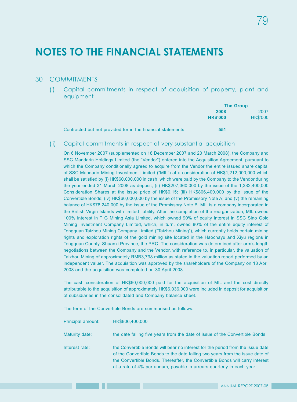### 30 COMMITMENTS

(i) Capital commitments in respect of acquisition of property, plant and equipment

|                                                             | <b>The Group</b> |                 |
|-------------------------------------------------------------|------------------|-----------------|
|                                                             | 2008             | 2007            |
|                                                             | <b>HK\$'000</b>  | <b>HK\$'000</b> |
| Contracted but not provided for in the financial statements | 551              |                 |

(ii) Capital commitments in respect of very substantial acquisition

On 6 November 2007 (supplemented on 18 December 2007 and 20 March 2008), the Company and SSC Mandarin Holdings Limited (the "Vendor") entered into the Acquisition Agreement, pursuant to which the Company conditionally agreed to acquire from the Vendor the entire issued share capital of SSC Mandarin Mining Investment Limited ("MIL") at a consideration of HK\$1,212,000,000 which shall be satisfied by (i) HK\$60,000,000 in cash, which were paid by the Company to the Vendor during the year ended 31 March 2008 as deposit; (ii) HK\$207,360,000 by the issue of the 1,382,400,000 Consideration Shares at the issue price of HK\$0.15; (iii) HK\$806,400,000 by the issue of the Convertible Bonds; (iv) HK\$60,000,000 by the issue of the Promissory Note A; and (v) the remaining balance of HK\$78,240,000 by the issue of the Promissory Note B. MIL is a company incorporated in the British Virgin Islands with limited liability. After the completion of the reorganization, MIL owned 100% interest in T G Mining Asia Limited, which owned 90% of equity interest in SSC Sino Gold Mining Investment Company Limited, which, in turn, owned 80% of the entire equity interest of Tongguan Taizhou Mining Company Limited ("Taizhou Mining"), which currently holds certain mining rights and exploration rights of the gold mining site located in the Haochayu and Xiyu regions in Tongguan County, Shaanxi Province, the PRC. The consideration was determined after arm's length negotiations between the Company and the Vendor, with reference to, in particular, the valuation of Taizhou Mining of approximately RMB3,798 million as stated in the valuation report performed by an independent valuer. The acquisition was approved by the shareholders of the Company on 18 April 2008 and the acquisition was completed on 30 April 2008.

The cash consideration of HK\$60,000,000 paid for the acquisition of MIL and the cost directly attributable to the acquisition of approximately HK\$6,036,000 were included in deposit for acquisition of subsidiaries in the consolidated and Company balance sheet.

The term of the Convertible Bonds are summarised as follows:

| Principal amount: | HK\$806.400.000                                                                                                                                                                                                                                                                                                          |
|-------------------|--------------------------------------------------------------------------------------------------------------------------------------------------------------------------------------------------------------------------------------------------------------------------------------------------------------------------|
| Maturity date:    | the date falling five years from the date of issue of the Convertible Bonds                                                                                                                                                                                                                                              |
| Interest rate:    | the Convertible Bonds will bear no interest for the period from the issue date<br>of the Convertible Bonds to the date falling two years from the issue date of<br>the Convertible Bonds. Thereafter, the Convertible Bonds will carry interest<br>at a rate of 4% per annum, payable in arrears quarterly in each year. |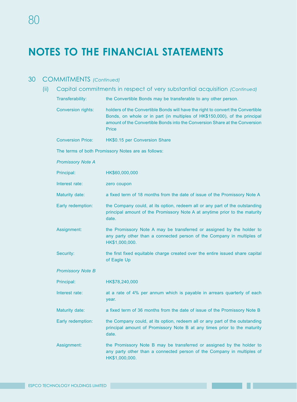### 30 COMMITMENTS *(Continued)*

80

| (ii) |                           | Capital commitments in respect of very substantial acquisition (Continued)                                                                                                                                                                            |
|------|---------------------------|-------------------------------------------------------------------------------------------------------------------------------------------------------------------------------------------------------------------------------------------------------|
|      | Transferability:          | the Convertible Bonds may be transferable to any other person.                                                                                                                                                                                        |
|      | <b>Conversion rights:</b> | holders of the Convertible Bonds will have the right to convert the Convertible<br>Bonds, on whole or in part (in multiples of HK\$150,000), of the principal<br>amount of the Convertible Bonds into the Conversion Share at the Conversion<br>Price |
|      | <b>Conversion Price:</b>  | HK\$0.15 per Conversion Share                                                                                                                                                                                                                         |
|      |                           | The terms of both Promissory Notes are as follows:                                                                                                                                                                                                    |
|      | <b>Promissory Note A</b>  |                                                                                                                                                                                                                                                       |
|      | Principal:                | HK\$60,000,000                                                                                                                                                                                                                                        |
|      | Interest rate:            | zero coupon                                                                                                                                                                                                                                           |
|      | Maturity date:            | a fixed term of 18 months from the date of issue of the Promissory Note A                                                                                                                                                                             |
|      | Early redemption:         | the Company could, at its option, redeem all or any part of the outstanding<br>principal amount of the Promissory Note A at anytime prior to the maturity<br>date.                                                                                    |
|      | Assignment:               | the Promissory Note A may be transferred or assigned by the holder to<br>any party other than a connected person of the Company in multiples of<br>HK\$1,000,000.                                                                                     |
|      | Security:                 | the first fixed equitable charge created over the entire issued share capital<br>of Eagle Up                                                                                                                                                          |
|      | <b>Promissory Note B</b>  |                                                                                                                                                                                                                                                       |
|      | Principal:                | HK\$78,240,000                                                                                                                                                                                                                                        |
|      | Interest rate:            | at a rate of 4% per annum which is payable in arrears quarterly of each<br>year.                                                                                                                                                                      |
|      | Maturity date:            | a fixed term of 36 months from the date of issue of the Promissory Note B                                                                                                                                                                             |
|      | Early redemption:         | the Company could, at its option, redeem all or any part of the outstanding<br>principal amount of Promissory Note B at any times prior to the maturity<br>date.                                                                                      |
|      | Assignment:               | the Promissory Note B may be transferred or assigned by the holder to<br>any party other than a connected person of the Company in multiples of<br>HK\$1,000,000.                                                                                     |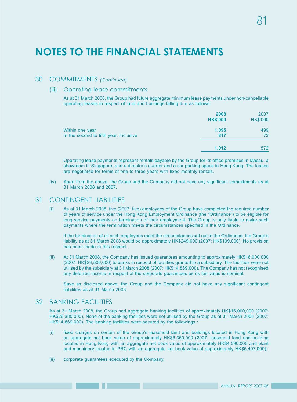### 30 COMMITMENTS *(Continued)*

#### (iii) Operating lease commitments

As at 31 March 2008, the Group had future aggregate minimum lease payments under non-cancellable operating leases in respect of land and buildings falling due as follows:

|                                                           | 2008<br><b>HK\$'000</b> | 2007<br><b>HK\$'000</b> |
|-----------------------------------------------------------|-------------------------|-------------------------|
| Within one year<br>In the second to fifth year, inclusive | 1,095<br>817            | 499<br>73               |
|                                                           | 1.912                   | 572                     |

Operating lease payments represent rentals payable by the Group for its office premises in Macau, a showroom in Singapore, and a director's quarter and a car parking space in Hong Kong. The leases are negotiated for terms of one to three years with fixed monthly rentals.

(iv) Apart from the above, the Group and the Company did not have any significant commitments as at 31 March 2008 and 2007.

#### 31 CONTINGENT LIABILITIES

(i) As at 31 March 2008, five (2007: five) employees of the Group have completed the required number of years of service under the Hong Kong Employment Ordinance (the "Ordinance") to be eligible for long service payments on termination of their employment. The Group is only liable to make such payments where the termination meets the circumstances specified in the Ordinance.

If the termination of all such employees meet the circumstances set out in the Ordinance, the Group's liability as at 31 March 2008 would be approximately HK\$249,000 (2007: HK\$199,000). No provision has been made in this respect.

(ii) At 31 March 2008, the Company has issued guarantees amounting to approximately HK\$16,000,000 (2007: HK\$23,506,000) to banks in respect of facilities granted to a subsidiary. The facilities were not utilised by the subsidiary at 31 March 2008 (2007: HK\$14,869,000). The Company has not recognised any deferred income in respect of the corporate guarantees as its fair value is nominal.

Save as disclosed above, the Group and the Company did not have any significant contingent liabilities as at 31 March 2008.

#### 32 BANKING FACILITIES

As at 31 March 2008, the Group had aggregate banking facilities of approximately HK\$16,000,000 (2007: HK\$26,380,000). None of the banking facilities were not utilised by the Group as at 31 March 2008 (2007: HK\$14,869,000). The banking facilities were secured by the followings :

- (i) fixed charges on certain of the Group's leasehold land and buildings located in Hong Kong with an aggregate net book value of approximately HK\$6,350,000 (2007: leasehold land and building located in Hong Kong with an aggregate net book value of approximately HK\$4,590,000 and plant and machinery located in PRC with an aggregate net book value of approximately HK\$5,407,000);
- (ii) corporate guarantees executed by the Company.

the company of the company of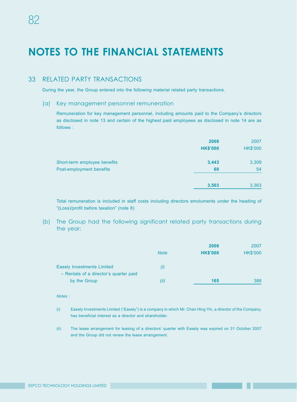### 33 RELATED PARTY TRANSACTIONS

During the year, the Group entered into the following material related party transactions.

#### (a) Key management personnel remuneration

Remuneration for key management personnel, including amounts paid to the Company's directors as disclosed in note 13 and certain of the highest paid employees as disclosed in note 14 are as follows :

|                              | 2008<br><b>HK\$'000</b> | 2007<br><b>HK\$'000</b> |
|------------------------------|-------------------------|-------------------------|
| Short-term employee benefits | 3,443                   | 3,309                   |
| Post-employment benefits     | 60                      | 54                      |
|                              | 3,503                   | 3,363                   |

Total remuneration is included in staff costs including directors emoluments under the heading of "(Loss)/profit before taxation" (note 8)

(b) The Group had the following significant related party transactions during the year:

|                                                        |             | 2008            | 2007            |
|--------------------------------------------------------|-------------|-----------------|-----------------|
|                                                        | <b>Note</b> | <b>HK\$'000</b> | <b>HK\$'000</b> |
| <b>Easely Investments Limited</b>                      | (i)         |                 |                 |
| - Rentals of a director's quarter paid<br>by the Group | (ii)        | 165             | 388             |

#### *Notes :*

- (i) Easely Investments Limited ("Easely") is a company in which Mr. Chan Hing Yin, a director of the Company, has beneficial interest as a director and shareholder.
- (ii) The lease arrangement for leasing of a directors' quarter with Easely was expired on 31 October 2007 and the Group did not renew the lease arrangement.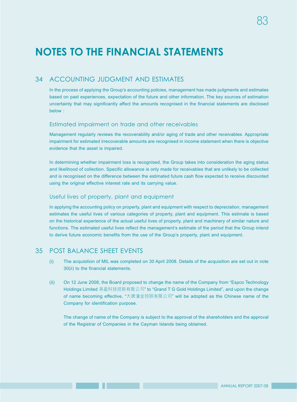### 34 ACCOUNTING JUDGMENT AND ESTIMATES

In the process of applying the Group's accounting policies, management has made judgments and estimates based on past experiences, expectation of the future and other information. The key sources of estimation uncertainty that may significantly affect the amounts recognised in the financial statements are disclosed below :

#### Estimated impairment on trade and other receivables

Management regularly reviews the recoverability and/or aging of trade and other receivables. Appropriate impairment for estimated irrecoverable amounts are recognised in income statement when there is objective evidence that the asset is impaired.

In determining whether impairment loss is recognised, the Group takes into consideration the aging status and likelihood of collection. Specific allowance is only made for receivables that are unlikely to be collected and is recognised on the difference between the estimated future cash flow expected to receive discounted using the original effective interest rate and its carrying value.

#### Useful lives of property, plant and equipment

In applying the accounting policy on property, plant and equipment with respect to depreciation, management estimates the useful lives of various categories of property, plant and equipment. This estimate is based on the historical experience of the actual useful lives of property, plant and machinery of similar nature and functions. The estimated useful lives reflect the management's estimate of the period that the Group intend to derive future economic benefits from the use of the Group's property, plant and equipment.

### 35 POST BALANCE SHEET EVENTS

- (i) The acquisition of MIL was completed on 30 April 2008. Details of the acquisition are set out in note 30(ii) to the financial statements.
- (ii) On 12 June 2008, the Board proposed to change the name of the Company from "Espco Technology Holdings Limited 易盈科技控股有限公司" to "Grand T G Gold Holdings Limited", and upon the change of name becoming effective, "大唐潼金控股有限公司" will be adopted as the Chinese name of the Company for identification purpose.

The change of name of the Company is subject to the approval of the shareholders and the approval of the Registrar of Companies in the Cayman Islands being obtained.